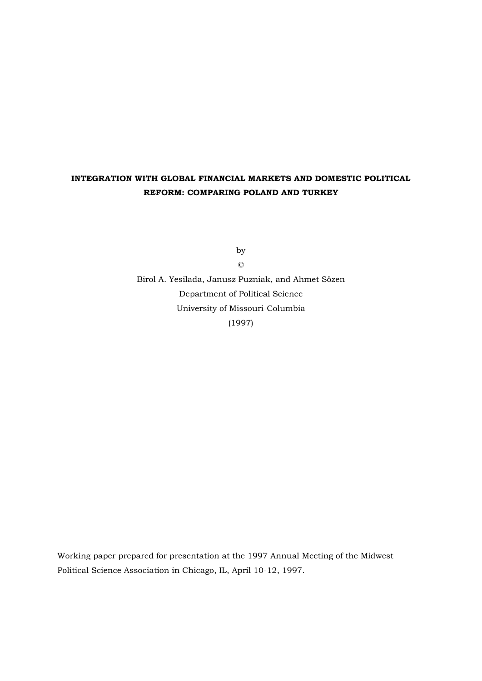# **INTEGRATION WITH GLOBAL FINANCIAL MARKETS AND DOMESTIC POLITICAL REFORM: COMPARING POLAND AND TURKEY**

by

©

Birol A. Yesilada, Janusz Puzniak, and Ahmet Sözen Department of Political Science University of Missouri-Columbia (1997)

Working paper prepared for presentation at the 1997 Annual Meeting of the Midwest Political Science Association in Chicago, IL, April 10-12, 1997.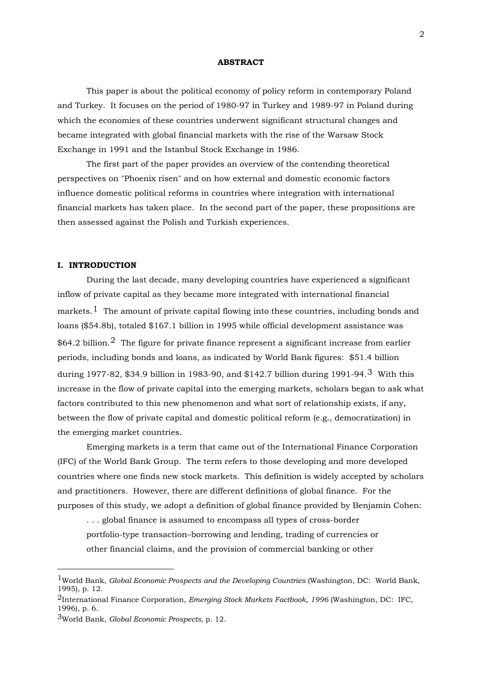#### **ABSTRACT**

 This paper is about the political economy of policy reform in contemporary Poland and Turkey. It focuses on the period of 1980-97 in Turkey and 1989-97 in Poland during which the economies of these countries underwent significant structural changes and became integrated with global financial markets with the rise of the Warsaw Stock Exchange in 1991 and the Istanbul Stock Exchange in 1986.

 The first part of the paper provides an overview of the contending theoretical perspectives on "Phoenix risen" and on how external and domestic economic factors influence domestic political reforms in countries where integration with international financial markets has taken place. In the second part of the paper, these propositions are then assessed against the Polish and Turkish experiences.

## **I. INTRODUCTION**

 During the last decade, many developing countries have experienced a significant inflow of private capital as they became more integrated with international financial markets.<sup>[1](#page-1-0)</sup> The amount of private capital flowing into these countries, including bonds and loans (\$54.8b), totaled \$167.1 billion in 1995 while official development assistance was  $$64.2$  $$64.2$  billion.<sup>2</sup> The figure for private finance represent a significant increase from earlier periods, including bonds and loans, as indicated by World Bank figures: \$51.4 billion during 1977-82, \$34.9 billion in 1983-90, and \$142.7 billion during 1991-94.[3](#page-1-2) With this increase in the flow of private capital into the emerging markets, scholars began to ask what factors contributed to this new phenomenon and what sort of relationship exists, if any, between the flow of private capital and domestic political reform (e.g., democratization) in the emerging market countries.

 Emerging markets is a term that came out of the International Finance Corporation (IFC) of the World Bank Group. The term refers to those developing and more developed countries where one finds new stock markets. This definition is widely accepted by scholars and practitioners. However, there are different definitions of global finance. For the purposes of this study, we adopt a definition of global finance provided by Benjamin Cohen:

. . . global finance is assumed to encompass all types of cross-border portfolio-type transaction–borrowing and lending, trading of currencies or other financial claims, and the provision of commercial banking or other

<u>.</u>

<span id="page-1-0"></span><sup>1</sup>World Bank, *Global Economic Prospects and the Developing Countries* (Washington, DC: World Bank, 1995), p. 12.

<span id="page-1-1"></span><sup>2</sup>International Finance Corporation, *Emerging Stock Markets Factbook, 1996* (Washington, DC: IFC, 1996), p. 6.

<span id="page-1-2"></span><sup>3</sup>World Bank, *Global Economic Prospects,* p. 12.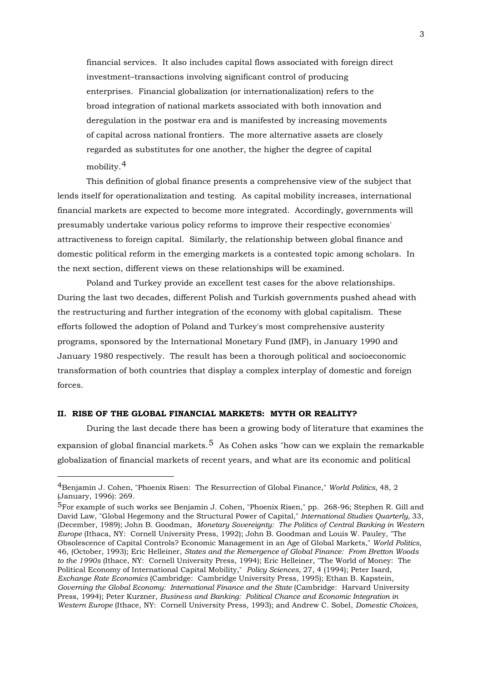financial services. It also includes capital flows associated with foreign direct investment–transactions involving significant control of producing enterprises. Financial globalization (or internationalization) refers to the broad integration of national markets associated with both innovation and deregulation in the postwar era and is manifested by increasing movements of capital across national frontiers. The more alternative assets are closely regarded as substitutes for one another, the higher the degree of capital mobility.<sup>[4](#page-2-0)</sup>

 This definition of global finance presents a comprehensive view of the subject that lends itself for operationalization and testing. As capital mobility increases, international financial markets are expected to become more integrated. Accordingly, governments will presumably undertake various policy reforms to improve their respective economies' attractiveness to foreign capital. Similarly, the relationship between global finance and domestic political reform in the emerging markets is a contested topic among scholars. In the next section, different views on these relationships will be examined.

 Poland and Turkey provide an excellent test cases for the above relationships. During the last two decades, different Polish and Turkish governments pushed ahead with the restructuring and further integration of the economy with global capitalism. These efforts followed the adoption of Poland and Turkey's most comprehensive austerity programs, sponsored by the International Monetary Fund (IMF), in January 1990 and January 1980 respectively. The result has been a thorough political and socioeconomic transformation of both countries that display a complex interplay of domestic and foreign forces.

## **II. RISE OF THE GLOBAL FINANCIAL MARKETS: MYTH OR REALITY?**

1

 During the last decade there has been a growing body of literature that examines the expansion of global financial markets.<sup>[5](#page-2-1)</sup> As Cohen asks "how can we explain the remarkable globalization of financial markets of recent years, and what are its economic and political

<span id="page-2-0"></span><sup>4</sup>Benjamin J. Cohen, "Phoenix Risen: The Resurrection of Global Finance," *World Politics,* 48, 2 (January, 1996): 269.

<span id="page-2-1"></span> $5$ For example of such works see Benjamin J. Cohen, "Phoenix Risen," pp. 268-96; Stephen R. Gill and David Law, "Global Hegemony and the Structural Power of Capital," *International Studies Quarterly,* 33, (December, 1989); John B. Goodman, *Monetary Sovereignty: The Politics of Central Banking in Western Europe* (Ithaca, NY: Cornell University Press, 1992); John B. Goodman and Louis W. Pauley, "The Obsolescence of Capital Controls? Economic Management in an Age of Global Markets," *World Politics,*  46, (October, 1993); Eric Helleiner, *States and the Remergence of Global Finance: From Bretton Woods to the 1990s* (Ithace, NY: Cornell University Press, 1994); Eric Helleiner, "The World of Money: The Political Economy of International Capital Mobility," *Policy Sciences,* 27, 4 (1994); Peter Isard, *Exchange Rate Economics* (Cambridge: Cambridge University Press, 1995); Ethan B. Kapstein, *Governing the Global Economy: International Finance and the State* (Cambridge: Harvard University Press, 1994); Peter Kurzner, *Business and Banking: Political Chance and Economic Integration in Western Europe* (Ithace, NY: Cornell University Press, 1993); and Andrew C. Sobel, *Domestic Choices,*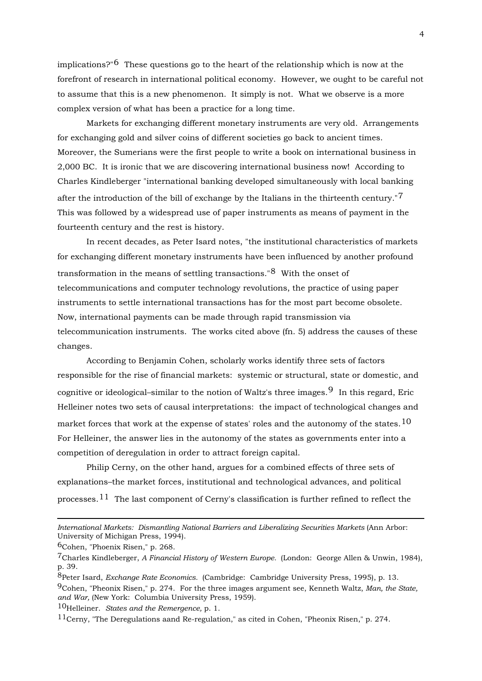implications?"<sup>[6](#page-3-0)</sup> These questions go to the heart of the relationship which is now at the forefront of research in international political economy. However, we ought to be careful not to assume that this is a new phenomenon. It simply is not. What we observe is a more complex version of what has been a practice for a long time.

 Markets for exchanging different monetary instruments are very old. Arrangements for exchanging gold and silver coins of different societies go back to ancient times. Moreover, the Sumerians were the first people to write a book on international business in 2,000 BC. It is ironic that we are discovering international business now! According to Charles Kindleberger "international banking developed simultaneously with local banking after the introduction of the bill of exchange by the Italians in the thirteenth century."<sup>[7](#page-3-1)</sup> This was followed by a widespread use of paper instruments as means of payment in the fourteenth century and the rest is history.

 In recent decades, as Peter Isard notes, "the institutional characteristics of markets for exchanging different monetary instruments have been influenced by another profound transformation in the means of settling transactions."[8](#page-3-2) With the onset of telecommunications and computer technology revolutions, the practice of using paper instruments to settle international transactions has for the most part become obsolete. Now, international payments can be made through rapid transmission via telecommunication instruments. The works cited above (fn. 5) address the causes of these changes.

 According to Benjamin Cohen, scholarly works identify three sets of factors responsible for the rise of financial markets: systemic or structural, state or domestic, and cognitive or ideological–similar to the notion of Waltz's three images.<sup>[9](#page-3-3)</sup> In this regard, Eric Helleiner notes two sets of causal interpretations: the impact of technological changes and market forces that work at the expense of states' roles and the autonomy of the states.<sup>[10](#page-3-4)</sup> For Helleiner, the answer lies in the autonomy of the states as governments enter into a competition of deregulation in order to attract foreign capital.

 Philip Cerny, on the other hand, argues for a combined effects of three sets of explanations–the market forces, institutional and technological advances, and political processes.<sup>[11](#page-3-5)</sup> The last component of Cerny's classification is further refined to reflect the

1

<span id="page-3-4"></span>10Helleiner. *States and the Remergence,* p. 1.

*International Markets: Dismantling National Barriers and Liberalizing Securities Markets* (Ann Arbor: University of Michigan Press, 1994).

<span id="page-3-0"></span><sup>6</sup>Cohen, "Phoenix Risen," p. 268.

<span id="page-3-1"></span><sup>7</sup>Charles Kindleberger, *A Financial History of Western Europe.* (London: George Allen & Unwin, 1984), p. 39.

<span id="page-3-3"></span><span id="page-3-2"></span><sup>8</sup>Peter Isard, *Exchange Rate Economics.* (Cambridge: Cambridge University Press, 1995), p. 13. 9Cohen, "Pheonix Risen," p. 274. For the three images argument see, Kenneth Waltz, *Man, the State, and War,* (New York: Columbia University Press, 1959).

<span id="page-3-5"></span><sup>11</sup>Cerny, "The Deregulations aand Re-regulation," as cited in Cohen, "Pheonix Risen," p. 274.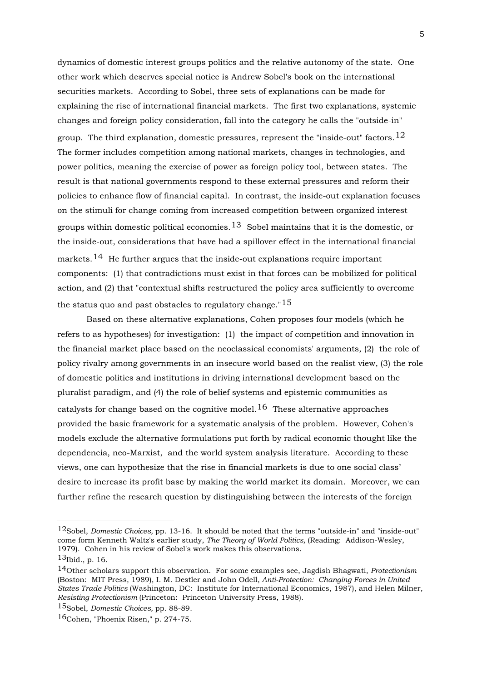dynamics of domestic interest groups politics and the relative autonomy of the state. One other work which deserves special notice is Andrew Sobel's book on the international securities markets. According to Sobel, three sets of explanations can be made for explaining the rise of international financial markets. The first two explanations, systemic changes and foreign policy consideration, fall into the category he calls the "outside-in" group. The third explanation, domestic pressures, represent the "inside-out" factors.  $12$ The former includes competition among national markets, changes in technologies, and power politics, meaning the exercise of power as foreign policy tool, between states. The result is that national governments respond to these external pressures and reform their policies to enhance flow of financial capital. In contrast, the inside-out explanation focuses on the stimuli for change coming from increased competition between organized interest groups within domestic political economies.<sup>[13](#page-4-1)</sup> Sobel maintains that it is the domestic, or the inside-out, considerations that have had a spillover effect in the international financial markets.<sup>[14](#page-4-2)</sup> He further argues that the inside-out explanations require important components: (1) that contradictions must exist in that forces can be mobilized for political action, and (2) that "contextual shifts restructured the policy area sufficiently to overcome the status quo and past obstacles to regulatory change."<sup>[15](#page-4-3)</sup>

 Based on these alternative explanations, Cohen proposes four models (which he refers to as hypotheses) for investigation: (1) the impact of competition and innovation in the financial market place based on the neoclassical economists' arguments, (2) the role of policy rivalry among governments in an insecure world based on the realist view, (3) the role of domestic politics and institutions in driving international development based on the pluralist paradigm, and (4) the role of belief systems and epistemic communities as catalysts for change based on the cognitive model.<sup>[16](#page-4-4)</sup> These alternative approaches provided the basic framework for a systematic analysis of the problem. However, Cohen's models exclude the alternative formulations put forth by radical economic thought like the dependencia, neo-Marxist, and the world system analysis literature. According to these views, one can hypothesize that the rise in financial markets is due to one social class' desire to increase its profit base by making the world market its domain. Moreover, we can further refine the research question by distinguishing between the interests of the foreign

<u>.</u>

<span id="page-4-0"></span><sup>12</sup>Sobel, *Domestic Choices,* pp. 13-16. It should be noted that the terms "outside-in" and "inside-out" come form Kenneth Waltz's earlier study, *The Theory of World Politics,* (Reading: Addison-Wesley, 1979). Cohen in his review of Sobel's work makes this observations.

<span id="page-4-1"></span> $13$ Ibid., p. 16.

<span id="page-4-2"></span><sup>14</sup>Other scholars support this observation. For some examples see, Jagdish Bhagwati, *Protectionism*  (Boston: MIT Press, 1989), I. M. Destler and John Odell, *Anti-Protection: Changing Forces in United States Trade Politics* (Washington, DC: Institute for International Economics, 1987), and Helen Milner, *Resisting Protectionism* (Princeton: Princeton University Press, 1988).

<span id="page-4-3"></span><sup>15</sup>Sobel, *Domestic Choices,* pp. 88-89.

<span id="page-4-4"></span><sup>16</sup>Cohen, "Phoenix Risen," p. 274-75.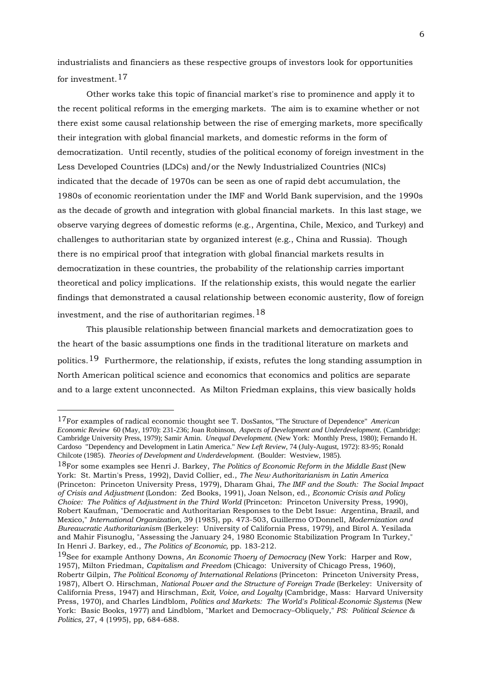industrialists and financiers as these respective groups of investors look for opportunities for investment.<sup>[17](#page-5-0)</sup>

 Other works take this topic of financial market's rise to prominence and apply it to the recent political reforms in the emerging markets. The aim is to examine whether or not there exist some causal relationship between the rise of emerging markets, more specifically their integration with global financial markets, and domestic reforms in the form of democratization. Until recently, studies of the political economy of foreign investment in the Less Developed Countries (LDCs) and/or the Newly Industrialized Countries (NICs) indicated that the decade of 1970s can be seen as one of rapid debt accumulation, the 1980s of economic reorientation under the IMF and World Bank supervision, and the 1990s as the decade of growth and integration with global financial markets. In this last stage, we observe varying degrees of domestic reforms (e.g., Argentina, Chile, Mexico, and Turkey) and challenges to authoritarian state by organized interest (e.g., China and Russia). Though there is no empirical proof that integration with global financial markets results in democratization in these countries, the probability of the relationship carries important theoretical and policy implications. If the relationship exists, this would negate the earlier findings that demonstrated a causal relationship between economic austerity, flow of foreign investment, and the rise of authoritarian regimes.<sup>[18](#page-5-1)</sup>

 This plausible relationship between financial markets and democratization goes to the heart of the basic assumptions one finds in the traditional literature on markets and politics.<sup>[19](#page-5-2)</sup> Furthermore, the relationship, if exists, refutes the long standing assumption in North American political science and economics that economics and politics are separate and to a large extent unconnected. As Milton Friedman explains, this view basically holds

<u>.</u>

<span id="page-5-0"></span><sup>17</sup>For examples of radical economic thought see T. DosSantos, "The Structure of Dependence" *American Economic Review* 60 (May, 1970): 231-236; Joan Robinson, *Aspects of Development and Underdevelopment.* (Cambridge: Cambridge University Press, 1979); Samir Amin. *Unequal Development.* (New York: Monthly Press, 1980); Fernando H. Cardoso "Dependency and Development in Latin America." *New Left Review,* 74 (July-August, 1972): 83-95; Ronald Chilcote (1985). *Theories of Development and Underdevelopment.* (Boulder: Westview, 1985).

<span id="page-5-1"></span><sup>18</sup>For some examples see Henri J. Barkey, *The Politics of Economic Reform in the Middle East* (New York: St. Martin's Press, 1992), David Collier, ed., *The New Authoritarianism in Latin America*  (Princeton: Princeton University Press, 1979), Dharam Ghai, *The IMF and the South: The Social Impact of Crisis and Adjustment* (London: Zed Books, 1991), Joan Nelson, ed., *Economic Crisis and Policy Choice: The Politics of Adjustment in the Third World* (Princeton: Princeton University Press, 1990), Robert Kaufman, "Democratic and Authoritarian Responses to the Debt Issue: Argentina, Brazil, and Mexico," *International Organization,* 39 (1985), pp. 473-503, Guillermo O'Donnell, *Modernization and Bureaucratic Authoritarianism* (Berkeley: University of California Press, 1979), and Birol A. Yesilada and Mahir Fisunoglu, "Assessing the January 24, 1980 Economic Stabilization Program In Turkey," In Henri J. Barkey, ed., *The Politics of Economic,* pp. 183-212.

<span id="page-5-2"></span><sup>19</sup>See for example Anthony Downs, *An Economic Thoery of Democracy* (New York: Harper and Row, 1957), Milton Friedman, *Capitalism and Freedom* (Chicago: University of Chicago Press, 1960), Robertr Gilpin, *The Political Economy of International Relations* (Princeton: Princeton University Press, 1987), Albert O. Hirschman, *National Power and the Structure of Foreign Trade* (Berkeley: University of California Press, 1947) and Hirschman, *Exit, Voice, and Loyalty* (Cambridge, Mass: Harvard University Press, 1970), and Charles Lindblom, *Politics and Markets: The World's Political-Economic Systems* (New York: Basic Books, 1977) and Lindblom, "Market and Democracy–Obliquely," *PS: Political Science & Politics,* 27, 4 (1995), pp, 684-688.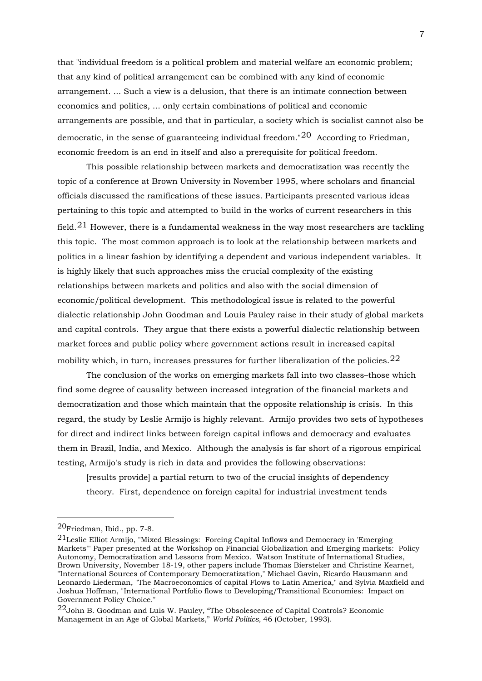that "individual freedom is a political problem and material welfare an economic problem; that any kind of political arrangement can be combined with any kind of economic arrangement. ... Such a view is a delusion, that there is an intimate connection between economics and politics, ... only certain combinations of political and economic arrangements are possible, and that in particular, a society which is socialist cannot also be democratic, in the sense of guaranteeing individual freedom." $20$  According to Friedman. economic freedom is an end in itself and also a prerequisite for political freedom.

 This possible relationship between markets and democratization was recently the topic of a conference at Brown University in November 1995, where scholars and financial officials discussed the ramifications of these issues. Participants presented various ideas pertaining to this topic and attempted to build in the works of current researchers in this field.<sup>[21](#page-6-1)</sup> However, there is a fundamental weakness in the way most researchers are tackling this topic. The most common approach is to look at the relationship between markets and politics in a linear fashion by identifying a dependent and various independent variables. It is highly likely that such approaches miss the crucial complexity of the existing relationships between markets and politics and also with the social dimension of economic/political development. This methodological issue is related to the powerful dialectic relationship John Goodman and Louis Pauley raise in their study of global markets and capital controls. They argue that there exists a powerful dialectic relationship between market forces and public policy where government actions result in increased capital mobility which, in turn, increases pressures for further liberalization of the policies.  $22$ 

 The conclusion of the works on emerging markets fall into two classes–those which find some degree of causality between increased integration of the financial markets and democratization and those which maintain that the opposite relationship is crisis. In this regard, the study by Leslie Armijo is highly relevant. Armijo provides two sets of hypotheses for direct and indirect links between foreign capital inflows and democracy and evaluates them in Brazil, India, and Mexico. Although the analysis is far short of a rigorous empirical testing, Armijo's study is rich in data and provides the following observations:

[results provide] a partial return to two of the crucial insights of dependency theory. First, dependence on foreign capital for industrial investment tends

<span id="page-6-0"></span><sup>20</sup>Friedman, Ibid., pp. 7-8.

<span id="page-6-1"></span><sup>21</sup>Leslie Elliot Armijo, "Mixed Blessings: Foreing Capital Inflows and Democracy in 'Emerging Markets'" Paper presented at the Workshop on Financial Globalization and Emerging markets: Policy Autonomy, Democratization and Lessons from Mexico. Watson Institute of International Studies, Brown University, November 18-19, other papers include Thomas Biersteker and Christine Kearnet, "International Sources of Contemporary Democratization," Michael Gavin, Ricardo Hausmann and Leonardo Liederman, "The Macroeconomics of capital Flows to Latin America," and Sylvia Maxfield and Joshua Hoffman, "International Portfolio flows to Developing/Transitional Economies: Impact on Government Policy Choice."

<span id="page-6-2"></span> $22$ John B. Goodman and Luis W. Pauley, "The Obsolescence of Capital Controls? Economic Management in an Age of Global Markets," *World Politics,* 46 (October, 1993).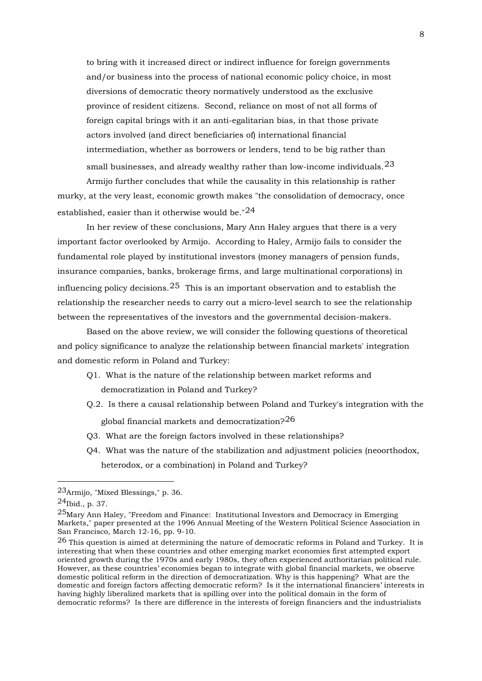to bring with it increased direct or indirect influence for foreign governments and/or business into the process of national economic policy choice, in most diversions of democratic theory normatively understood as the exclusive province of resident citizens. Second, reliance on most of not all forms of foreign capital brings with it an anti-egalitarian bias, in that those private actors involved (and direct beneficiaries of) international financial intermediation, whether as borrowers or lenders, tend to be big rather than small businesses, and already wealthy rather than low-income individuals.  $^{23}$  $^{23}$  $^{23}$ 

 Armijo further concludes that while the causality in this relationship is rather murky, at the very least, economic growth makes "the consolidation of democracy, once established, easier than it otherwise would be."<sup>[24](#page-7-1)</sup>

 In her review of these conclusions, Mary Ann Haley argues that there is a very important factor overlooked by Armijo. According to Haley, Armijo fails to consider the fundamental role played by institutional investors (money managers of pension funds, insurance companies, banks, brokerage firms, and large multinational corporations) in influencing policy decisions.  $25$  This is an important observation and to establish the relationship the researcher needs to carry out a micro-level search to see the relationship between the representatives of the investors and the governmental decision-makers.

 Based on the above review, we will consider the following questions of theoretical and policy significance to analyze the relationship between financial markets' integration and domestic reform in Poland and Turkey:

- Q1. What is the nature of the relationship between market reforms and democratization in Poland and Turkey?
- Q.2. Is there a causal relationship between Poland and Turkey's integration with the global financial markets and democratization? $^{26}$  $^{26}$  $^{26}$
- Q3. What are the foreign factors involved in these relationships?
- Q4. What was the nature of the stabilization and adjustment policies (neoorthodox, heterodox, or a combination) in Poland and Turkey?

<span id="page-7-0"></span><sup>23</sup>Armijo, "Mixed Blessings," p. 36.

<span id="page-7-1"></span> $^{24}$ Ibid., p. 37.

<span id="page-7-2"></span><sup>25</sup>Mary Ann Haley, "Freedom and Finance: Institutional Investors and Democracy in Emerging Markets," paper presented at the 1996 Annual Meeting of the Western Political Science Association in San Francisco, March 12-16, pp. 9-10.

<span id="page-7-3"></span> $26$  This question is aimed at determining the nature of democratic reforms in Poland and Turkey. It is interesting that when these countries and other emerging market economies first attempted export oriented growth during the 1970s and early 1980s, they often experienced authoritarian political rule. However, as these countries' economies began to integrate with global financial markets, we observe domestic political reform in the direction of democratization. Why is this happening? What are the domestic and foreign factors affecting democratic reform? Is it the international financiers' interests in having highly liberalized markets that is spilling over into the political domain in the form of democratic reforms? Is there are difference in the interests of foreign financiers and the industrialists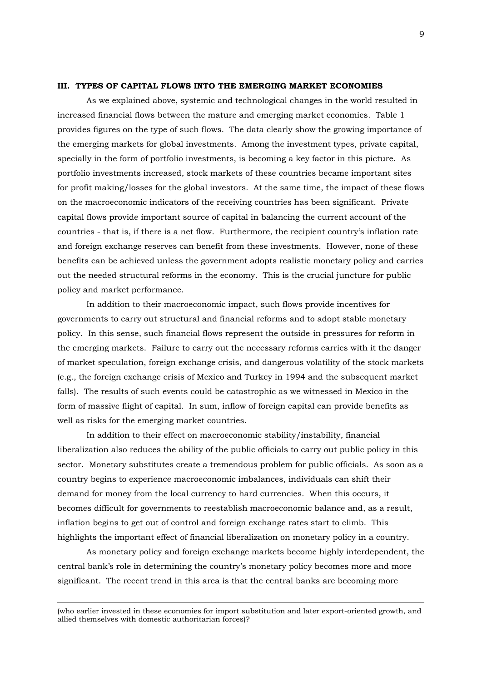#### **III. TYPES OF CAPITAL FLOWS INTO THE EMERGING MARKET ECONOMIES**

 As we explained above, systemic and technological changes in the world resulted in increased financial flows between the mature and emerging market economies. Table 1 provides figures on the type of such flows. The data clearly show the growing importance of the emerging markets for global investments. Among the investment types, private capital, specially in the form of portfolio investments, is becoming a key factor in this picture. As portfolio investments increased, stock markets of these countries became important sites for profit making/losses for the global investors. At the same time, the impact of these flows on the macroeconomic indicators of the receiving countries has been significant. Private capital flows provide important source of capital in balancing the current account of the countries - that is, if there is a net flow. Furthermore, the recipient country's inflation rate and foreign exchange reserves can benefit from these investments. However, none of these benefits can be achieved unless the government adopts realistic monetary policy and carries out the needed structural reforms in the economy. This is the crucial juncture for public policy and market performance.

 In addition to their macroeconomic impact, such flows provide incentives for governments to carry out structural and financial reforms and to adopt stable monetary policy. In this sense, such financial flows represent the outside-in pressures for reform in the emerging markets. Failure to carry out the necessary reforms carries with it the danger of market speculation, foreign exchange crisis, and dangerous volatility of the stock markets (e.g., the foreign exchange crisis of Mexico and Turkey in 1994 and the subsequent market falls). The results of such events could be catastrophic as we witnessed in Mexico in the form of massive flight of capital. In sum, inflow of foreign capital can provide benefits as well as risks for the emerging market countries.

 In addition to their effect on macroeconomic stability/instability, financial liberalization also reduces the ability of the public officials to carry out public policy in this sector. Monetary substitutes create a tremendous problem for public officials. As soon as a country begins to experience macroeconomic imbalances, individuals can shift their demand for money from the local currency to hard currencies. When this occurs, it becomes difficult for governments to reestablish macroeconomic balance and, as a result, inflation begins to get out of control and foreign exchange rates start to climb. This highlights the important effect of financial liberalization on monetary policy in a country.

 As monetary policy and foreign exchange markets become highly interdependent, the central bank's role in determining the country's monetary policy becomes more and more significant. The recent trend in this area is that the central banks are becoming more

(who earlier invested in these economies for import substitution and later export-oriented growth, and allied themselves with domestic authoritarian forces)?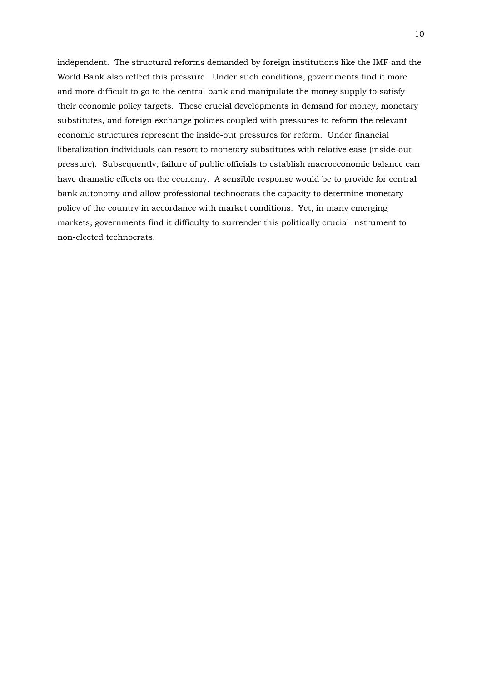independent. The structural reforms demanded by foreign institutions like the IMF and the World Bank also reflect this pressure. Under such conditions, governments find it more and more difficult to go to the central bank and manipulate the money supply to satisfy their economic policy targets. These crucial developments in demand for money, monetary substitutes, and foreign exchange policies coupled with pressures to reform the relevant economic structures represent the inside-out pressures for reform. Under financial liberalization individuals can resort to monetary substitutes with relative ease (inside-out pressure). Subsequently, failure of public officials to establish macroeconomic balance can have dramatic effects on the economy. A sensible response would be to provide for central bank autonomy and allow professional technocrats the capacity to determine monetary policy of the country in accordance with market conditions. Yet, in many emerging markets, governments find it difficulty to surrender this politically crucial instrument to non-elected technocrats.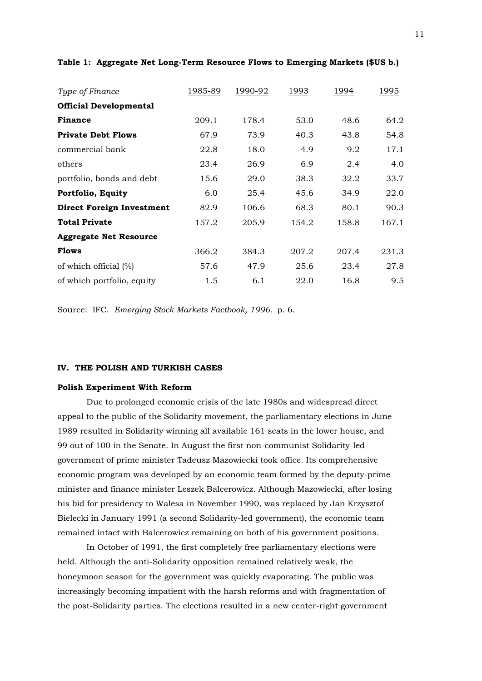| Type of Finance                  | 1985-89 | 1990-92 | 1993   | 1994  | 1995  |
|----------------------------------|---------|---------|--------|-------|-------|
| <b>Official Developmental</b>    |         |         |        |       |       |
| <b>Finance</b>                   | 209.1   | 178.4   | 53.0   | 48.6  | 64.2  |
| <b>Private Debt Flows</b>        | 67.9    | 73.9    | 40.3   | 43.8  | 54.8  |
| commercial bank                  | 22.8    | 18.0    | $-4.9$ | 9.2   | 17.1  |
| others                           | 23.4    | 26.9    | 6.9    | 2.4   | 4.0   |
| portfolio, bonds and debt        | 15.6    | 29.0    | 38.3   | 32.2  | 33.7  |
| Portfolio, Equity                | 6.0     | 25.4    | 45.6   | 34.9  | 22.0  |
| <b>Direct Foreign Investment</b> | 82.9    | 106.6   | 68.3   | 80.1  | 90.3  |
| <b>Total Private</b>             | 157.2   | 205.9   | 154.2  | 158.8 | 167.1 |
| <b>Aggregate Net Resource</b>    |         |         |        |       |       |
| <b>Flows</b>                     | 366.2   | 384.3   | 207.2  | 207.4 | 231.3 |
| of which official $(\%)$         | 57.6    | 47.9    | 25.6   | 23.4  | 27.8  |
| of which portfolio, equity       | 1.5     | 6.1     | 22.0   | 16.8  | 9.5   |

**Table 1: Aggregate Net Long-Term Resource Flows to Emerging Markets (\$US b.)**

Source: IFC. *Emerging Stock Markets Factbook, 1996.* p. 6.

#### **IV. THE POLISH AND TURKISH CASES**

#### **Polish Experiment With Reform**

 Due to prolonged economic crisis of the late 1980s and widespread direct appeal to the public of the Solidarity movement, the parliamentary elections in June 1989 resulted in Solidarity winning all available 161 seats in the lower house, and 99 out of 100 in the Senate. In August the first non-communist Solidarity-led government of prime minister Tadeusz Mazowiecki took office. Its comprehensive economic program was developed by an economic team formed by the deputy-prime minister and finance minister Leszek Balcerowicz. Although Mazowiecki, after losing his bid for presidency to Walesa in November 1990, was replaced by Jan Krzysztof Bielecki in January 1991 (a second Solidarity-led government), the economic team remained intact with Balcerowicz remaining on both of his government positions.

 In October of 1991, the first completely free parliamentary elections were held. Although the anti-Solidarity opposition remained relatively weak, the honeymoon season for the government was quickly evaporating. The public was increasingly becoming impatient with the harsh reforms and with fragmentation of the post-Solidarity parties. The elections resulted in a new center-right government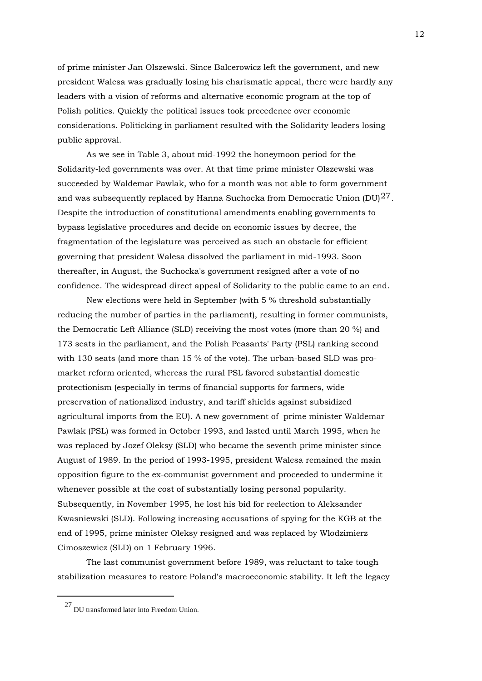of prime minister Jan Olszewski. Since Balcerowicz left the government, and new president Walesa was gradually losing his charismatic appeal, there were hardly any leaders with a vision of reforms and alternative economic program at the top of Polish politics. Quickly the political issues took precedence over economic considerations. Politicking in parliament resulted with the Solidarity leaders losing public approval.

 As we see in Table 3, about mid-1992 the honeymoon period for the Solidarity-led governments was over. At that time prime minister Olszewski was succeeded by Waldemar Pawlak, who for a month was not able to form government and was subsequently replaced by Hanna Suchocka from Democratic Union  $(DU)^{27}$  $(DU)^{27}$  $(DU)^{27}$ . Despite the introduction of constitutional amendments enabling governments to bypass legislative procedures and decide on economic issues by decree, the fragmentation of the legislature was perceived as such an obstacle for efficient governing that president Walesa dissolved the parliament in mid-1993. Soon thereafter, in August, the Suchocka's government resigned after a vote of no confidence. The widespread direct appeal of Solidarity to the public came to an end.

 New elections were held in September (with 5 % threshold substantially reducing the number of parties in the parliament), resulting in former communists, the Democratic Left Alliance (SLD) receiving the most votes (more than 20 %) and 173 seats in the parliament, and the Polish Peasants' Party (PSL) ranking second with 130 seats (and more than 15 % of the vote). The urban-based SLD was promarket reform oriented, whereas the rural PSL favored substantial domestic protectionism (especially in terms of financial supports for farmers, wide preservation of nationalized industry, and tariff shields against subsidized agricultural imports from the EU). A new government of prime minister Waldemar Pawlak (PSL) was formed in October 1993, and lasted until March 1995, when he was replaced by Jozef Oleksy (SLD) who became the seventh prime minister since August of 1989. In the period of 1993-1995, president Walesa remained the main opposition figure to the ex-communist government and proceeded to undermine it whenever possible at the cost of substantially losing personal popularity. Subsequently, in November 1995, he lost his bid for reelection to Aleksander Kwasniewski (SLD). Following increasing accusations of spying for the KGB at the end of 1995, prime minister Oleksy resigned and was replaced by Wlodzimierz Cimoszewicz (SLD) on 1 February 1996.

 The last communist government before 1989, was reluctant to take tough stabilization measures to restore Poland's macroeconomic stability. It left the legacy

<span id="page-11-0"></span> $\ensuremath{^{27}}$  DU transformed later into Freedom Union.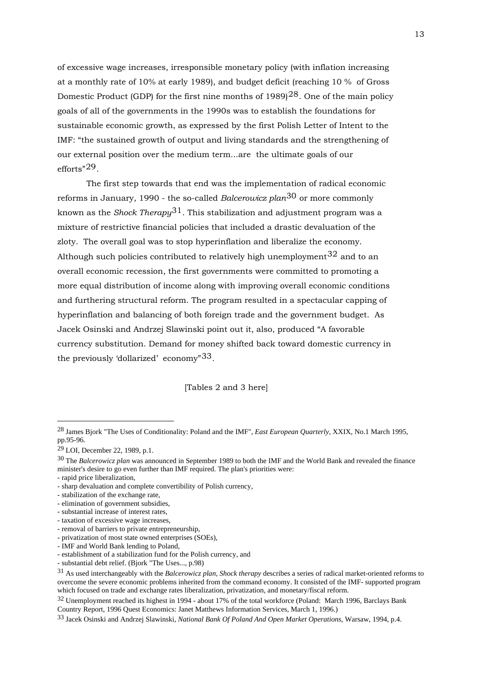of excessive wage increases, irresponsible monetary policy (with inflation increasing at a monthly rate of 10% at early 1989), and budget deficit (reaching 10 % of Gross Domestic Product (GDP) for the first nine months of  $1989$ <sup>[28](#page-12-0)</sup>. One of the main policy goals of all of the governments in the 1990s was to establish the foundations for sustainable economic growth, as expressed by the first Polish Letter of Intent to the IMF: "the sustained growth of output and living standards and the strengthening of our external position over the medium term...are the ultimate goals of our efforts"[29](#page-12-1).

 The first step towards that end was the implementation of radical economic reforms in January, 1990 - the so-called *Balcerowicz plan*[30](#page-12-2) or more commonly known as the *Shock Therapy*[31](#page-12-3). This stabilization and adjustment program was a mixture of restrictive financial policies that included a drastic devaluation of the zloty. The overall goal was to stop hyperinflation and liberalize the economy. Although such policies contributed to relatively high unemployment  $32$  and to an overall economic recession, the first governments were committed to promoting a more equal distribution of income along with improving overall economic conditions and furthering structural reform. The program resulted in a spectacular capping of hyperinflation and balancing of both foreign trade and the government budget. As Jacek Osinski and Andrzej Slawinski point out it, also, produced "A favorable currency substitution. Demand for money shifted back toward domestic currency in the previously 'dollarized' economy"[33](#page-12-5).

[Tables 2 and 3 here]

<span id="page-12-0"></span><sup>28</sup> James Bjork "The Uses of Conditionality: Poland and the IMF", *East European Quarterly*, XXIX, No.1 March 1995, pp.95-96.

<span id="page-12-1"></span><sup>29</sup> LOI, December 22, 1989, p.1.

<span id="page-12-2"></span><sup>30</sup> The *Balcerowicz plan* was announced in September 1989 to both the IMF and the World Bank and revealed the finance minister's desire to go even further than IMF required. The plan's priorities were:

<sup>-</sup> rapid price liberalization,

<sup>-</sup> sharp devaluation and complete convertibility of Polish currency,

<sup>-</sup> stabilization of the exchange rate,

<sup>-</sup> elimination of government subsidies,

<sup>-</sup> substantial increase of interest rates,

<sup>-</sup> taxation of excessive wage increases,

<sup>-</sup> removal of barriers to private entrepreneurship,

<sup>-</sup> privatization of most state owned enterprises (SOEs),

<sup>-</sup> IMF and World Bank lending to Poland,

<sup>-</sup> establishment of a stabilization fund for the Polish currency, and

<sup>-</sup> substantial debt relief. (Bjork "The Uses..., p.98)

<span id="page-12-3"></span><sup>31</sup> As used interchangeably with the *Balcerowicz plan*, *Shock therapy* describes a series of radical market-oriented reforms to overcome the severe economic problems inherited from the command economy. It consisted of the IMF- supported program which focused on trade and exchange rates liberalization, privatization, and monetary/fiscal reform.

<span id="page-12-4"></span><sup>32</sup> Unemployment reached its highest in 1994 - about 17% of the total workforce (Poland: March 1996, Barclays Bank Country Report, 1996 Quest Economics: Janet Matthews Information Services, March 1, 1996.)

<span id="page-12-5"></span><sup>33</sup> Jacek Osinski and Andrzej Slawinski, *National Bank Of Poland And Open Market Operations*, Warsaw, 1994, p.4.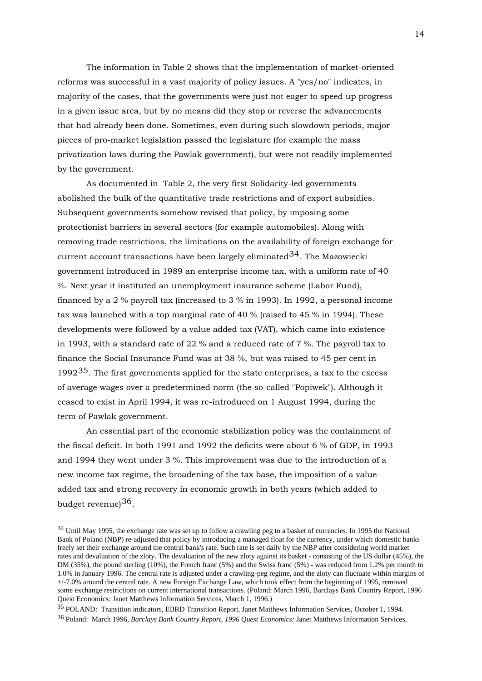The information in Table 2 shows that the implementation of market-oriented reforms was successful in a vast majority of policy issues. A "yes/no" indicates, in majority of the cases, that the governments were just not eager to speed up progress in a given issue area, but by no means did they stop or reverse the advancements that had already been done. Sometimes, even during such slowdown periods, major pieces of pro-market legislation passed the legislature (for example the mass privatization laws during the Pawlak government), but were not readily implemented by the government.

 As documented in Table 2, the very first Solidarity-led governments abolished the bulk of the quantitative trade restrictions and of export subsidies. Subsequent governments somehow revised that policy, by imposing some protectionist barriers in several sectors (for example automobiles). Along with removing trade restrictions, the limitations on the availability of foreign exchange for current account transactions have been largely eliminated  $34$ . The Mazowiecki government introduced in 1989 an enterprise income tax, with a uniform rate of 40 %. Next year it instituted an unemployment insurance scheme (Labor Fund), financed by a 2 % payroll tax (increased to 3 % in 1993). In 1992, a personal income tax was launched with a top marginal rate of 40 % (raised to 45 % in 1994). These developments were followed by a value added tax (VAT), which came into existence in 1993, with a standard rate of 22 % and a reduced rate of 7 %. The payroll tax to finance the Social Insurance Fund was at 38 %, but was raised to 45 per cent in 1992 $35$ . The first governments applied for the state enterprises, a tax to the excess of average wages over a predetermined norm (the so-called "Popiwek"). Although it ceased to exist in April 1994, it was re-introduced on 1 August 1994, during the term of Pawlak government.

 An essential part of the economic stabilization policy was the containment of the fiscal deficit. In both 1991 and 1992 the deficits were about 6 % of GDP, in 1993 and 1994 they went under 3 %. This improvement was due to the introduction of a new income tax regime, the broadening of the tax base, the imposition of a value added tax and strong recovery in economic growth in both years (which added to budget revenue)[36](#page-13-2).

<span id="page-13-0"></span><sup>34</sup> Until May 1995, the exchange rate was set up to follow a crawling peg to a basket of currencies. In 1995 the National Bank of Poland (NBP) re-adjusted that policy by introducing a managed float for the currency, under which domestic banks freely set their exchange around the central bank's rate. Such rate is set daily by the NBP after considering world market rates and devaluation of the zloty. The devaluation of the new zloty against its basket - consisting of the US dollar (45%), the DM (35%), the pound sterling (10%), the French franc (5%) and the Swiss franc (5%) - was reduced from 1.2% per month to 1.0% in January 1996. The central rate is adjusted under a crawling-peg regime, and the zloty can fluctuate within margins of +/-7.0% around the central rate. A new Foreign Exchange Law, which took effect from the beginning of 1995, removed some exchange restrictions on current international transactions. (Poland: March 1996, Barclays Bank Country Report, 1996 Quest Economics: Janet Matthews Information Services, March 1, 1996.)

<span id="page-13-1"></span><sup>35</sup> POLAND: Transition indicators, EBRD Transition Report, Janet Matthews Information Services, October 1, 1994.

<span id="page-13-2"></span><sup>36</sup> Poland: March 1996, *Barclays Bank Country Report, 1996 Quest Economics:* Janet Matthews Information Services,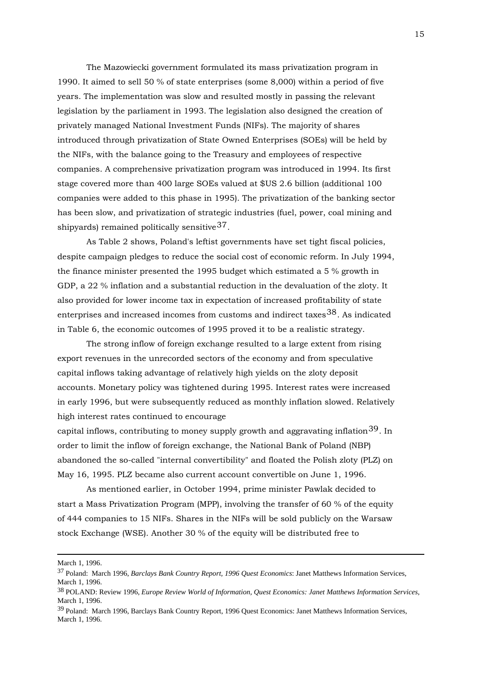The Mazowiecki government formulated its mass privatization program in 1990. It aimed to sell 50 % of state enterprises (some 8,000) within a period of five years. The implementation was slow and resulted mostly in passing the relevant legislation by the parliament in 1993. The legislation also designed the creation of privately managed National Investment Funds (NIFs). The majority of shares introduced through privatization of State Owned Enterprises (SOEs) will be held by the NIFs, with the balance going to the Treasury and employees of respective companies. A comprehensive privatization program was introduced in 1994. Its first stage covered more than 400 large SOEs valued at \$US 2.6 billion (additional 100 companies were added to this phase in 1995). The privatization of the banking sector has been slow, and privatization of strategic industries (fuel, power, coal mining and shipyards) remained politically sensitive  $37$ .

 As Table 2 shows, Poland's leftist governments have set tight fiscal policies, despite campaign pledges to reduce the social cost of economic reform. In July 1994, the finance minister presented the 1995 budget which estimated a 5 % growth in GDP, a 22 % inflation and a substantial reduction in the devaluation of the zloty. It also provided for lower income tax in expectation of increased profitability of state enterprises and increased incomes from customs and indirect taxes  $38$ . As indicated in Table 6, the economic outcomes of 1995 proved it to be a realistic strategy.

 The strong inflow of foreign exchange resulted to a large extent from rising export revenues in the unrecorded sectors of the economy and from speculative capital inflows taking advantage of relatively high yields on the zloty deposit accounts. Monetary policy was tightened during 1995. Interest rates were increased in early 1996, but were subsequently reduced as monthly inflation slowed. Relatively high interest rates continued to encourage

capital inflows, contributing to money supply growth and aggravating inflation<sup>[39](#page-14-2)</sup>. In order to limit the inflow of foreign exchange, the National Bank of Poland (NBP) abandoned the so-called "internal convertibility" and floated the Polish zloty (PLZ) on May 16, 1995. PLZ became also current account convertible on June 1, 1996.

 As mentioned earlier, in October 1994, prime minister Pawlak decided to start a Mass Privatization Program (MPP), involving the transfer of 60 % of the equity of 444 companies to 15 NIFs. Shares in the NIFs will be sold publicly on the Warsaw stock Exchange (WSE). Another 30 % of the equity will be distributed free to

March 1, 1996.

<span id="page-14-0"></span><sup>37</sup> Poland: March 1996, *Barclays Bank Country Report, 1996 Quest Economics*: Janet Matthews Information Services, March 1, 1996.

<span id="page-14-1"></span><sup>38</sup> POLAND: Review 1996, *Europe Review World of Information, Quest Economics: Janet Matthews Information Services*, March 1, 1996.

<span id="page-14-2"></span><sup>39</sup> Poland: March 1996, Barclays Bank Country Report, 1996 Quest Economics: Janet Matthews Information Services, March 1, 1996.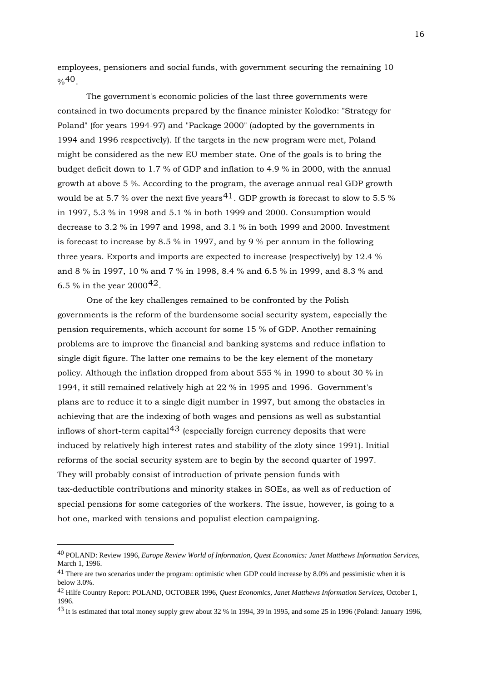employees, pensioners and social funds, with government securing the remaining 10  $\frac{0}{6}40$  $\frac{0}{6}40$ 

 The government's economic policies of the last three governments were contained in two documents prepared by the finance minister Kolodko: "Strategy for Poland" (for years 1994-97) and "Package 2000" (adopted by the governments in 1994 and 1996 respectively). If the targets in the new program were met, Poland might be considered as the new EU member state. One of the goals is to bring the budget deficit down to 1.7 % of GDP and inflation to 4.9 % in 2000, with the annual growth at above 5 %. According to the program, the average annual real GDP growth would be at 5.7 % over the next five years  $41$ . GDP growth is forecast to slow to 5.5 % in 1997, 5.3 % in 1998 and 5.1 % in both 1999 and 2000. Consumption would decrease to 3.2 % in 1997 and 1998, and 3.1 % in both 1999 and 2000. Investment is forecast to increase by 8.5 % in 1997, and by 9 % per annum in the following three years. Exports and imports are expected to increase (respectively) by 12.4 % and 8 % in 1997, 10 % and 7 % in 1998, 8.4 % and 6.5 % in 1999, and 8.3 % and 6.5 % in the year  $2000^{42}$  $2000^{42}$  $2000^{42}$ .

 One of the key challenges remained to be confronted by the Polish governments is the reform of the burdensome social security system, especially the pension requirements, which account for some 15 % of GDP. Another remaining problems are to improve the financial and banking systems and reduce inflation to single digit figure. The latter one remains to be the key element of the monetary policy. Although the inflation dropped from about 555 % in 1990 to about 30 % in 1994, it still remained relatively high at 22 % in 1995 and 1996. Government's plans are to reduce it to a single digit number in 1997, but among the obstacles in achieving that are the indexing of both wages and pensions as well as substantial inflows of short-term capital<sup>[43](#page-15-3)</sup> (especially foreign currency deposits that were induced by relatively high interest rates and stability of the zloty since 1991). Initial reforms of the social security system are to begin by the second quarter of 1997. They will probably consist of introduction of private pension funds with tax-deductible contributions and minority stakes in SOEs, as well as of reduction of special pensions for some categories of the workers. The issue, however, is going to a hot one, marked with tensions and populist election campaigning.

<span id="page-15-0"></span><sup>40</sup> POLAND: Review 1996, *Europe Review World of Information, Quest Economics: Janet Matthews Information Services*, March 1, 1996.

<span id="page-15-1"></span><sup>&</sup>lt;sup>41</sup> There are two scenarios under the program: optimistic when GDP could increase by 8.0% and pessimistic when it is below 3.0%.

<span id="page-15-2"></span><sup>42</sup> Hilfe Country Report: POLAND, OCTOBER 1996, *Quest Economics, Janet Matthews Information Services*, October 1, 1996.

<span id="page-15-3"></span><sup>43</sup> It is estimated that total money supply grew about 32 % in 1994, 39 in 1995, and some 25 in 1996 (Poland: January 1996,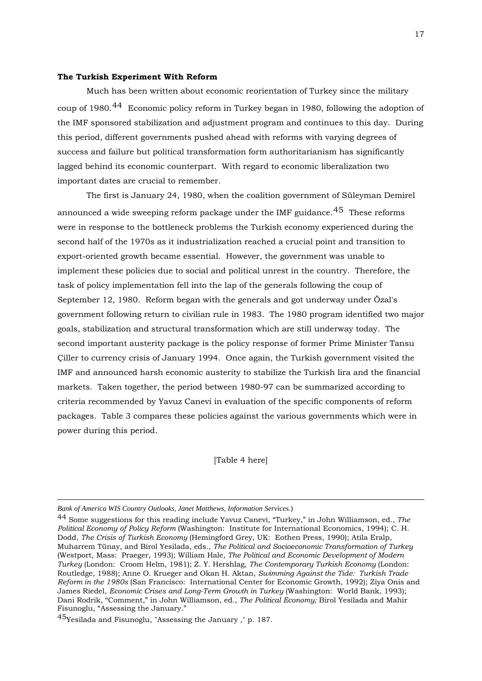#### **The Turkish Experiment With Reform**

 Much has been written about economic reorientation of Turkey since the military coup of 1980.[44](#page-16-0) Economic policy reform in Turkey began in 1980, following the adoption of the IMF sponsored stabilization and adjustment program and continues to this day. During this period, different governments pushed ahead with reforms with varying degrees of success and failure but political transformation form authoritarianism has significantly lagged behind its economic counterpart. With regard to economic liberalization two important dates are crucial to remember.

 The first is January 24, 1980, when the coalition government of Süleyman Demirel announced a wide sweeping reform package under the IMF guidance.<sup>[45](#page-16-1)</sup> These reforms were in response to the bottleneck problems the Turkish economy experienced during the second half of the 1970s as it industrialization reached a crucial point and transition to export-oriented growth became essential. However, the government was unable to implement these policies due to social and political unrest in the country. Therefore, the task of policy implementation fell into the lap of the generals following the coup of September 12, 1980. Reform began with the generals and got underway under Özal's government following return to civilian rule in 1983. The 1980 program identified two major goals, stabilization and structural transformation which are still underway today. The second important austerity package is the policy response of former Prime Minister Tansu Çiller to currency crisis of January 1994. Once again, the Turkish government visited the IMF and announced harsh economic austerity to stabilize the Turkish lira and the financial markets. Taken together, the period between 1980-97 can be summarized according to criteria recommended by Yavuz Canevi in evaluation of the specific components of reform packages. Table 3 compares these policies against the various governments which were in power during this period.

[Table 4 here]

<u>.</u>

*Bank of America WIS Country Outlooks, Janet Matthews, Information Services*.)

<span id="page-16-0"></span><sup>44</sup> Some suggestions for this reading include Yavuz Canevi, "Turkey," in John Williamson, ed., *The Political Economy of Policy Reform* (Washington: Institute for International Economics, 1994); C. H. Dodd, *The Crisis of Turkish Economy* (Hemingford Grey, UK: Eothen Press, 1990); Atila Eralp, Muharrem Tünay, and Birol Yesilada, eds., *The Political and Socioeconomic Transformation of Turkey*  (Westport, Mass: Praeger, 1993); William Hale, *The Political and Economic Development of Modern Turkey* (London: Croom Helm, 1981); Z. Y. Hershlag, *The Contemporary Turkish Economy* (London: Routledge, 1988); Anne O. Krueger and Okan H. Aktan, *Swimming Against the Tide: Turkish Trade Reform in the 1980s* (San Francisco: International Center for Economic Growth, 1992); Ziya Onis and James Riedel, *Economic Crises and Long-Term Growth in Turkey* (Washington: World Bank, 1993); Dani Rodrik, "Comment," in John Williamson, ed., *The Political Economy;* Birol Yesilada and Mahir Fisunoglu, "Assessing the January."

<span id="page-16-1"></span><sup>45</sup>Yesilada and Fisunoglu, "Assessing the January ," p. 187.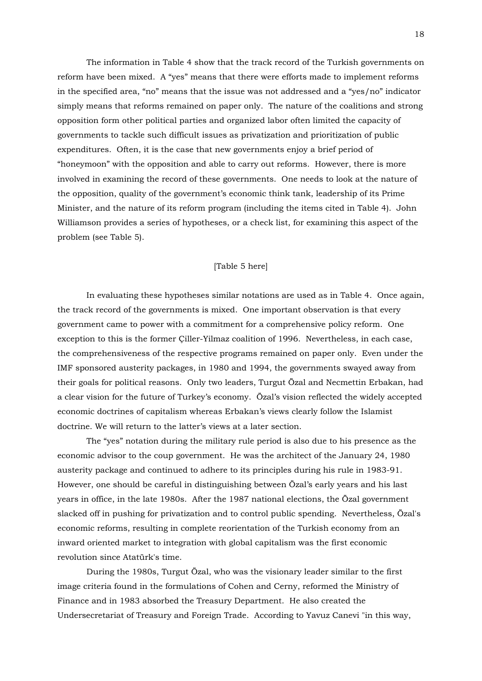The information in Table 4 show that the track record of the Turkish governments on reform have been mixed. A "yes" means that there were efforts made to implement reforms in the specified area, "no" means that the issue was not addressed and a "yes/no" indicator simply means that reforms remained on paper only. The nature of the coalitions and strong opposition form other political parties and organized labor often limited the capacity of governments to tackle such difficult issues as privatization and prioritization of public expenditures. Often, it is the case that new governments enjoy a brief period of "honeymoon" with the opposition and able to carry out reforms. However, there is more involved in examining the record of these governments. One needs to look at the nature of the opposition, quality of the government's economic think tank, leadership of its Prime Minister, and the nature of its reform program (including the items cited in Table 4). John Williamson provides a series of hypotheses, or a check list, for examining this aspect of the problem (see Table 5).

### [Table 5 here]

 In evaluating these hypotheses similar notations are used as in Table 4. Once again, the track record of the governments is mixed. One important observation is that every government came to power with a commitment for a comprehensive policy reform. One exception to this is the former Çiller-Yilmaz coalition of 1996. Nevertheless, in each case, the comprehensiveness of the respective programs remained on paper only. Even under the IMF sponsored austerity packages, in 1980 and 1994, the governments swayed away from their goals for political reasons. Only two leaders, Turgut Özal and Necmettin Erbakan, had a clear vision for the future of Turkey's economy. Özal's vision reflected the widely accepted economic doctrines of capitalism whereas Erbakan's views clearly follow the Islamist doctrine. We will return to the latter's views at a later section.

 The "yes" notation during the military rule period is also due to his presence as the economic advisor to the coup government. He was the architect of the January 24, 1980 austerity package and continued to adhere to its principles during his rule in 1983-91. However, one should be careful in distinguishing between Özal's early years and his last years in office, in the late 1980s. After the 1987 national elections, the Özal government slacked off in pushing for privatization and to control public spending. Nevertheless, Özal's economic reforms, resulting in complete reorientation of the Turkish economy from an inward oriented market to integration with global capitalism was the first economic revolution since Atatürk's time.

 During the 1980s, Turgut Özal, who was the visionary leader similar to the first image criteria found in the formulations of Cohen and Cerny, reformed the Ministry of Finance and in 1983 absorbed the Treasury Department. He also created the Undersecretariat of Treasury and Foreign Trade. According to Yavuz Canevi "in this way,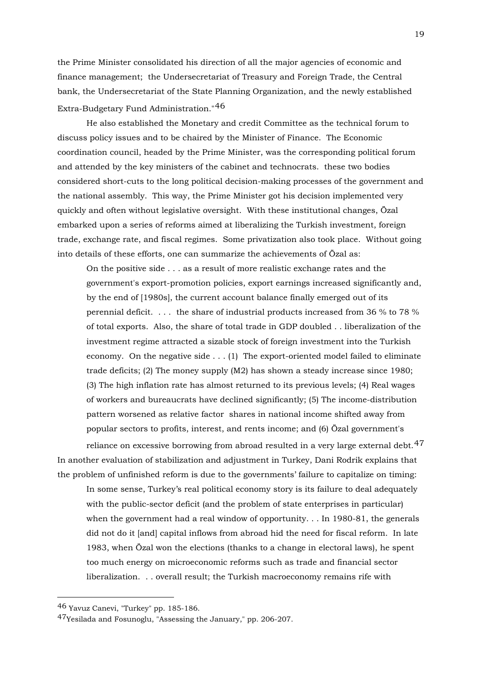the Prime Minister consolidated his direction of all the major agencies of economic and finance management; the Undersecretariat of Treasury and Foreign Trade, the Central bank, the Undersecretariat of the State Planning Organization, and the newly established Extra-Budgetary Fund Administration."[46](#page-18-0)

 He also established the Monetary and credit Committee as the technical forum to discuss policy issues and to be chaired by the Minister of Finance. The Economic coordination council, headed by the Prime Minister, was the corresponding political forum and attended by the key ministers of the cabinet and technocrats. these two bodies considered short-cuts to the long political decision-making processes of the government and the national assembly. This way, the Prime Minister got his decision implemented very quickly and often without legislative oversight. With these institutional changes, Özal embarked upon a series of reforms aimed at liberalizing the Turkish investment, foreign trade, exchange rate, and fiscal regimes. Some privatization also took place. Without going into details of these efforts, one can summarize the achievements of Özal as:

On the positive side . . . as a result of more realistic exchange rates and the government's export-promotion policies, export earnings increased significantly and, by the end of [1980s], the current account balance finally emerged out of its perennial deficit. . . . the share of industrial products increased from 36 % to 78 % of total exports. Also, the share of total trade in GDP doubled . . liberalization of the investment regime attracted a sizable stock of foreign investment into the Turkish economy. On the negative side . . . (1) The export-oriented model failed to eliminate trade deficits; (2) The money supply (M2) has shown a steady increase since 1980; (3) The high inflation rate has almost returned to its previous levels; (4) Real wages of workers and bureaucrats have declined significantly; (5) The income-distribution pattern worsened as relative factor shares in national income shifted away from popular sectors to profits, interest, and rents income; and (6) Özal government's

reliance on excessive borrowing from abroad resulted in a very large external debt.<sup>[47](#page-18-1)</sup> In another evaluation of stabilization and adjustment in Turkey, Dani Rodrik explains that the problem of unfinished reform is due to the governments' failure to capitalize on timing:

In some sense, Turkey's real political economy story is its failure to deal adequately with the public-sector deficit (and the problem of state enterprises in particular) when the government had a real window of opportunity. . . In 1980-81, the generals did not do it [and] capital inflows from abroad hid the need for fiscal reform. In late 1983, when Özal won the elections (thanks to a change in electoral laws), he spent too much energy on microeconomic reforms such as trade and financial sector liberalization. . . overall result; the Turkish macroeconomy remains rife with

<span id="page-18-0"></span><sup>46</sup> Yavuz Canevi, "Turkey" pp. 185-186.

<span id="page-18-1"></span><sup>47</sup>Yesilada and Fosunoglu, "Assessing the January," pp. 206-207.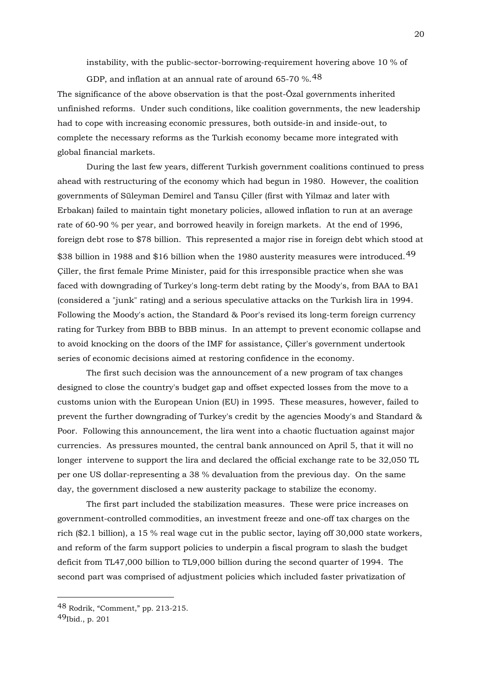instability, with the public-sector-borrowing-requirement hovering above 10 % of

GDP, and inflation at an annual rate of around 65-70  $\%$ . [48](#page-19-0)

The significance of the above observation is that the post-Özal governments inherited unfinished reforms. Under such conditions, like coalition governments, the new leadership had to cope with increasing economic pressures, both outside-in and inside-out, to complete the necessary reforms as the Turkish economy became more integrated with global financial markets.

 During the last few years, different Turkish government coalitions continued to press ahead with restructuring of the economy which had begun in 1980. However, the coalition governments of Süleyman Demirel and Tansu Çiller (first with Yilmaz and later with Erbakan) failed to maintain tight monetary policies, allowed inflation to run at an average rate of 60-90 % per year, and borrowed heavily in foreign markets. At the end of 1996, foreign debt rose to \$78 billion. This represented a major rise in foreign debt which stood at \$38 billion in 1988 and \$16 billion when the 1980 austerity measures were introduced.<sup>[49](#page-19-1)</sup> Çiller, the first female Prime Minister, paid for this irresponsible practice when she was faced with downgrading of Turkey's long-term debt rating by the Moody's, from BAA to BA1 (considered a "junk" rating) and a serious speculative attacks on the Turkish lira in 1994. Following the Moody's action, the Standard & Poor's revised its long-term foreign currency rating for Turkey from BBB to BBB minus. In an attempt to prevent economic collapse and to avoid knocking on the doors of the IMF for assistance, Çiller's government undertook series of economic decisions aimed at restoring confidence in the economy.

 The first such decision was the announcement of a new program of tax changes designed to close the country's budget gap and offset expected losses from the move to a customs union with the European Union (EU) in 1995. These measures, however, failed to prevent the further downgrading of Turkey's credit by the agencies Moody's and Standard & Poor. Following this announcement, the lira went into a chaotic fluctuation against major currencies. As pressures mounted, the central bank announced on April 5, that it will no longer intervene to support the lira and declared the official exchange rate to be 32,050 TL per one US dollar-representing a 38 % devaluation from the previous day. On the same day, the government disclosed a new austerity package to stabilize the economy.

 The first part included the stabilization measures. These were price increases on government-controlled commodities, an investment freeze and one-off tax charges on the rich (\$2.1 billion), a 15 % real wage cut in the public sector, laying off 30,000 state workers, and reform of the farm support policies to underpin a fiscal program to slash the budget deficit from TL47,000 billion to TL9,000 billion during the second quarter of 1994. The second part was comprised of adjustment policies which included faster privatization of

<span id="page-19-0"></span><sup>48</sup> Rodrik, "Comment," pp. 213-215.

<span id="page-19-1"></span> $49$ Ibid., p. 201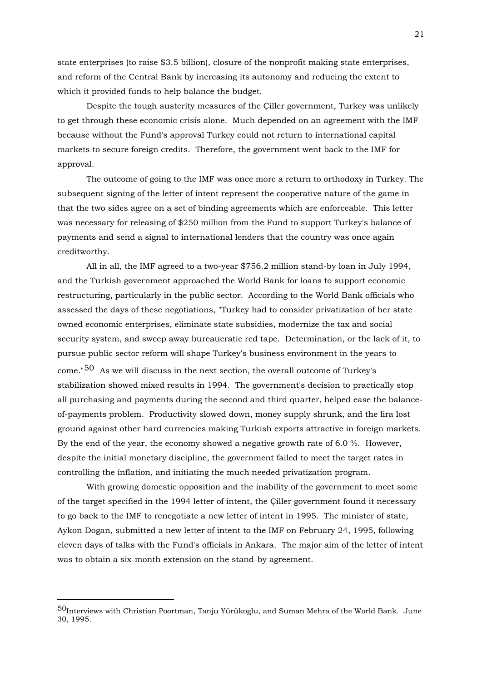state enterprises (to raise \$3.5 billion), closure of the nonprofit making state enterprises, and reform of the Central Bank by increasing its autonomy and reducing the extent to which it provided funds to help balance the budget.

 Despite the tough austerity measures of the Çiller government, Turkey was unlikely to get through these economic crisis alone. Much depended on an agreement with the IMF because without the Fund's approval Turkey could not return to international capital markets to secure foreign credits. Therefore, the government went back to the IMF for approval.

 The outcome of going to the IMF was once more a return to orthodoxy in Turkey. The subsequent signing of the letter of intent represent the cooperative nature of the game in that the two sides agree on a set of binding agreements which are enforceable. This letter was necessary for releasing of \$250 million from the Fund to support Turkey's balance of payments and send a signal to international lenders that the country was once again creditworthy.

 All in all, the IMF agreed to a two-year \$756.2 million stand-by loan in July 1994, and the Turkish government approached the World Bank for loans to support economic restructuring, particularly in the public sector. According to the World Bank officials who assessed the days of these negotiations, "Turkey had to consider privatization of her state owned economic enterprises, eliminate state subsidies, modernize the tax and social security system, and sweep away bureaucratic red tape. Determination, or the lack of it, to pursue public sector reform will shape Turkey's business environment in the years to come."[50](#page-20-0) As we will discuss in the next section, the overall outcome of Turkey's stabilization showed mixed results in 1994. The government's decision to practically stop all purchasing and payments during the second and third quarter, helped ease the balanceof-payments problem. Productivity slowed down, money supply shrunk, and the lira lost ground against other hard currencies making Turkish exports attractive in foreign markets. By the end of the year, the economy showed a negative growth rate of 6.0 %. However, despite the initial monetary discipline, the government failed to meet the target rates in controlling the inflation, and initiating the much needed privatization program.

 With growing domestic opposition and the inability of the government to meet some of the target specified in the 1994 letter of intent, the Çiller government found it necessary to go back to the IMF to renegotiate a new letter of intent in 1995. The minister of state, Aykon Dogan, submitted a new letter of intent to the IMF on February 24, 1995, following eleven days of talks with the Fund's officials in Ankara. The major aim of the letter of intent was to obtain a six-month extension on the stand-by agreement.

<span id="page-20-0"></span><sup>50</sup>Interviews with Christian Poortman, Tanju Yürükoglu, and Suman Mehra of the World Bank. June 30, 1995.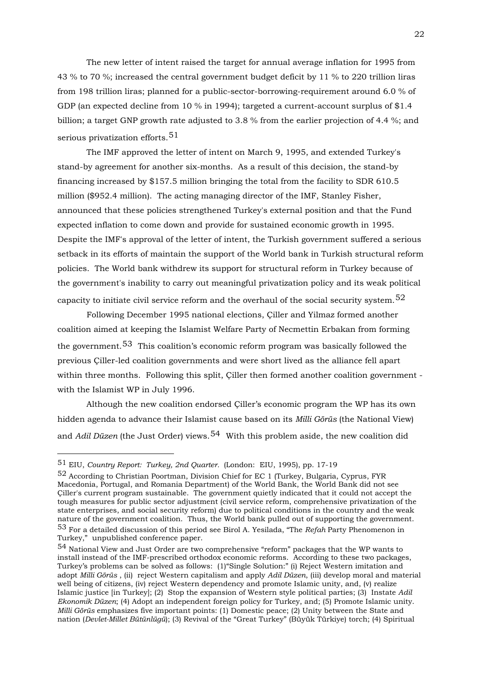The new letter of intent raised the target for annual average inflation for 1995 from 43 % to 70 %; increased the central government budget deficit by 11 % to 220 trillion liras from 198 trillion liras; planned for a public-sector-borrowing-requirement around 6.0 % of GDP (an expected decline from 10 % in 1994); targeted a current-account surplus of \$1.4 billion; a target GNP growth rate adjusted to 3.8 % from the earlier projection of 4.4 %; and serious privatization efforts.  $51$ 

 The IMF approved the letter of intent on March 9, 1995, and extended Turkey's stand-by agreement for another six-months. As a result of this decision, the stand-by financing increased by \$157.5 million bringing the total from the facility to SDR 610.5 million (\$952.4 million). The acting managing director of the IMF, Stanley Fisher, announced that these policies strengthened Turkey's external position and that the Fund expected inflation to come down and provide for sustained economic growth in 1995. Despite the IMF's approval of the letter of intent, the Turkish government suffered a serious setback in its efforts of maintain the support of the World bank in Turkish structural reform policies. The World bank withdrew its support for structural reform in Turkey because of the government's inability to carry out meaningful privatization policy and its weak political capacity to initiate civil service reform and the overhaul of the social security system.<sup>[52](#page-21-1)</sup>

 Following December 1995 national elections, Çiller and Yilmaz formed another coalition aimed at keeping the Islamist Welfare Party of Necmettin Erbakan from forming the government.<sup>[53](#page-21-2)</sup> This coalition's economic reform program was basically followed the previous Çiller-led coalition governments and were short lived as the alliance fell apart within three months. Following this split, Çiller then formed another coalition government with the Islamist WP in July 1996.

 Although the new coalition endorsed Çiller's economic program the WP has its own hidden agenda to advance their Islamist cause based on its *Milli Görüs* (the National View) and *Adil Düzen* (the Just Order) views.[54](#page-21-3) With this problem aside, the new coalition did

<span id="page-21-0"></span><sup>51</sup> EIU, *Country Report: Turkey, 2nd Quarter.* (London: EIU, 1995), pp. 17-19

<span id="page-21-1"></span><sup>52</sup> According to Christian Poortman, Division Chief for EC 1 (Turkey, Bulgaria, Cyprus, FYR Macedonia, Portugal, and Romania Department) of the World Bank, the World Bank did not see Çiller's current program sustainable. The government quietly indicated that it could not accept the tough measures for public sector adjustment (civil service reform, comprehensive privatization of the state enterprises, and social security reform) due to political conditions in the country and the weak nature of the government coalition. Thus, the World bank pulled out of supporting the government. 53 For a detailed discussion of this period see Birol A. Yesilada, "The *Refah* Party Phenomenon in Turkey," unpublished conference paper.

<span id="page-21-3"></span><span id="page-21-2"></span><sup>54</sup> National View and Just Order are two comprehensive "reform" packages that the WP wants to install instead of the IMF-prescribed orthodox economic reforms. According to these two packages, Turkey's problems can be solved as follows: (1)"Single Solution:" (i) Reject Western imitation and adopt *Milli Görüs* , (ii) reject Western capitalism and apply *Adil Düzen*, (iii) develop moral and material well being of citizens, (iv) reject Western dependency and promote Islamic unity, and, (v) realize Islamic justice [in Turkey]; (2) Stop the expansion of Western style political parties; (3) Instate *Adil Ekonomik Düzen*; (4) Adopt an independent foreign policy for Turkey, and; (5) Promote Islamic unity. *Milli Görüs* emphasizes five important points: (1) Domestic peace; (2) Unity between the State and nation (*Devlet-Millet Bütünlügü*); (3) Revival of the "Great Turkey" (Büyük Türkiye) torch; (4) Spiritual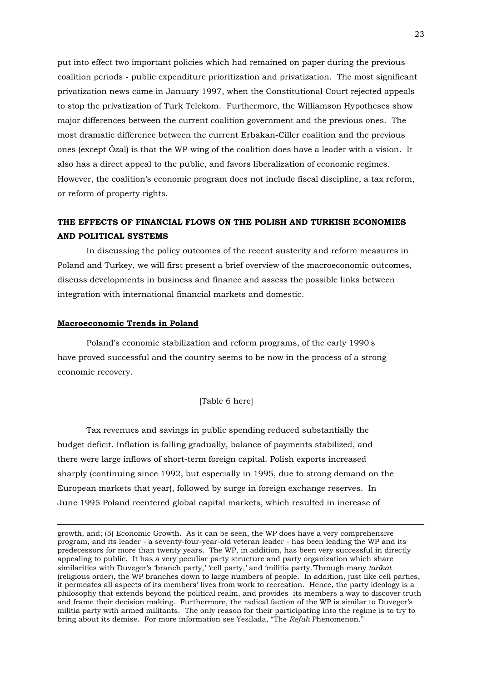put into effect two important policies which had remained on paper during the previo us coalition periods - public expenditure prioritization and privatization. The most significant privatization news came in January 1997, when the Constitutional Court rejected appeals to stop the privatization of Turk Telekom. Furthermore, the Williamson Hypotheses show major differences between the current coalition government and the previous ones. The most dramatic difference between the current Erbakan-Ciller coalition and the previous ones (except Özal) is that the WP-wing of the coalition does have a leader with a vision. It also has a direct appeal to the public, and favors liberalization of economic regimes. However, the coalition's economic program does not include fiscal discipline, a tax reform, or reform of property rights.

## **THE EFFECTS OF FINANCIAL FLOWS ON THE POLISH AND TURKISH ECONOMIES AND POLITICAL SYSTEMS**

 In discussing the policy outcomes of the recent austerity and reform measures in Poland and Turkey, we will first present a brief overview of the macroeconomic outcomes, discuss developments in business and finance and assess the possible links between integration with international financial markets and domestic.

## **Macroeconomic Trends in Poland**

1

 Poland's economic stabilization and reform programs, of the early 1990's have proved successful and the country seems to be now in the process of a strong economic recovery.

[Table 6 here]

 Tax revenues and savings in public spending reduced substantially the budget deficit. Inflation is falling gradually, balance of payments stabilized, and there were large inflows of short-term foreign capital. Polish exports increased sharply (continuing since 1992, but especially in 1995, due to strong demand on the European markets that year), followed by surge in foreign exchange reserves. In June 1995 Poland reentered global capital markets, which resulted in increase of

growth, and; (5) Economic Growth. As it can be seen, the WP does have a very comprehensive program, and its leader - a seventy-four-year-old veteran leader - has been leading the WP and its predecessors for more than twenty years. The WP, in addition, has been very successful in directly appealing to public. It has a very peculiar party structure and party organization which share similarities with Duveger's 'branch party,' 'cell party,' and 'militia party.'Through many *tarikat* (religious order), the WP branches down to large numbers of people. In addition, just like cell parties, it permeates all aspects of its members' lives from work to recreation. Hence, the party ideology is a philosophy that extends beyond the political realm, and provides its members a way to discover truth and frame their decision making. Furthermore, the radical faction of the WP is similar to Duveger's militia party with armed militants. The only reason for their participating into the regime is to try to bring about its demise. For more information see Yesilada, "The *Refah* Phenomenon."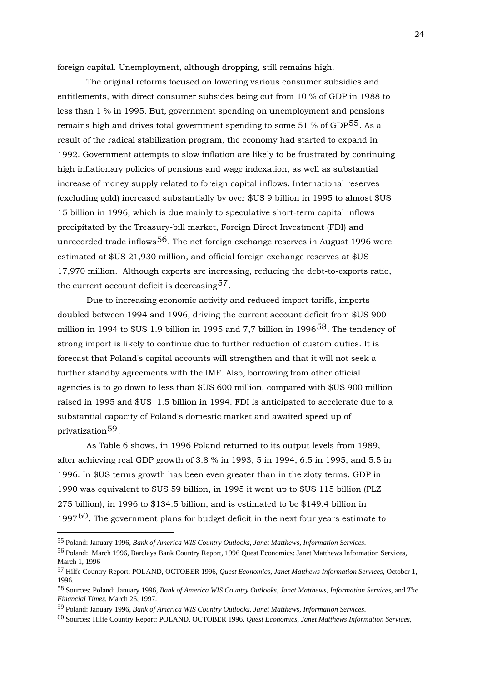foreign capital. Unemployment, although dropping, still remains high.

 The original reforms focused on lowering various consumer subsidies and entitlements, with direct consumer subsides being cut from 10 % of GDP in 1988 to less than 1 % in 1995. But, government spending on unemployment and pensions remains high and drives total government spending to some  $51\%$  of GDP<sup>[55](#page-23-0)</sup>. As a result of the radical stabilization program, the economy had started to expand in 1992. Government attempts to slow inflation are likely to be frustrated by continuing high inflationary policies of pensions and wage indexation, as well as substantial increase of money supply related to foreign capital inflows. International reserves (excluding gold) increased substantially by over \$US 9 billion in 1995 to almost \$US 15 billion in 1996, which is due mainly to speculative short-term capital inflows precipitated by the Treasury-bill market, Foreign Direct Investment (FDI) and unrecorded trade inflows<sup>[56](#page-23-1)</sup>. The net foreign exchange reserves in August 1996 were estimated at \$US 21,930 million, and official foreign exchange reserves at \$US 17,970 million. Although exports are increasing, reducing the debt-to-exports ratio, the current account deficit is decreasing  $57$ .

 Due to increasing economic activity and reduced import tariffs, imports doubled between 1994 and 1996, driving the current account deficit from \$US 900 million in 1994 to  $US 1.9$  billion in 1995 and 7,7 billion in 1996<sup>[58](#page-23-3)</sup>. The tendency of strong import is likely to continue due to further reduction of custom duties. It is forecast that Poland's capital accounts will strengthen and that it will not seek a further standby agreements with the IMF. Also, borrowing from other official agencies is to go down to less than \$US 600 million, compared with \$US 900 million raised in 1995 and \$US 1.5 billion in 1994. FDI is anticipated to accelerate due to a substantial capacity of Poland's domestic market and awaited speed up of privatization[59](#page-23-4).

 As Table 6 shows, in 1996 Poland returned to its output levels from 1989, after achieving real GDP growth of 3.8 % in 1993, 5 in 1994, 6.5 in 1995, and 5.5 in 1996. In \$US terms growth has been even greater than in the zloty terms. GDP in 1990 was equivalent to \$US 59 billion, in 1995 it went up to \$US 115 billion (PLZ 275 billion), in 1996 to \$134.5 billion, and is estimated to be \$149.4 billion in 1997<sup>[60](#page-23-5)</sup>. The government plans for budget deficit in the next four years estimate to

<span id="page-23-0"></span><sup>55</sup> Poland: January 1996, *Bank of America WIS Country Outlooks, Janet Matthews, Information Services*.

<span id="page-23-1"></span><sup>56</sup> Poland: March 1996, Barclays Bank Country Report, 1996 Quest Economics: Janet Matthews Information Services, March 1, 1996

<span id="page-23-2"></span><sup>57</sup> Hilfe Country Report: POLAND, OCTOBER 1996, *Quest Economics, Janet Matthews Information Services*, October 1, 1996.

<span id="page-23-3"></span><sup>58</sup> Sources: Poland: January 1996, *Bank of America WIS Country Outlooks, Janet Matthews, Information Services*, and *The Financial Times*, March 26, 1997.

<span id="page-23-4"></span><sup>59</sup> Poland: January 1996, *Bank of America WIS Country Outlooks, Janet Matthews, Information Services*.

<span id="page-23-5"></span><sup>60</sup> Sources: Hilfe Country Report: POLAND, OCTOBER 1996, *Quest Economics, Janet Matthews Information Services*,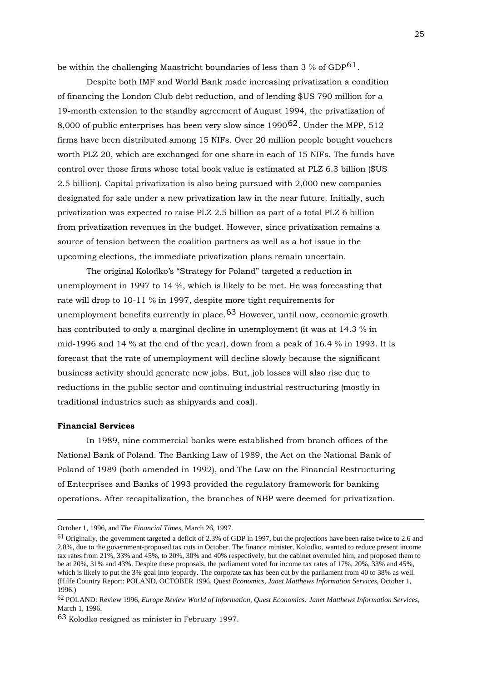be within the challenging Maastricht boundaries of less than  $3\%$  of GDP $61$ .

 Despite both IMF and World Bank made increasing privatization a condition of financing the London Club debt reduction, and of lending \$US 790 million for a 19-month extension to the standby agreement of August 1994, the privatization of 8,000 of public enterprises has been very slow since  $1990^{62}$  $1990^{62}$  $1990^{62}$ . Under the MPP, 512 firms have been distributed among 15 NIFs. Over 20 million people bought vouchers worth PLZ 20, which are exchanged for one share in each of 15 NIFs. The funds have control over those firms whose total book value is estimated at PLZ 6.3 billion (\$US 2.5 billion). Capital privatization is also being pursued with 2,000 new companies designated for sale under a new privatization law in the near future. Initially, such privatization was expected to raise PLZ 2.5 billion as part of a total PLZ 6 billion from privatization revenues in the budget. However, since privatization remains a source of tension between the coalition partners as well as a hot issue in the upcoming elections, the immediate privatization plans remain uncertain.

 The original Kolodko's "Strategy for Poland" targeted a reduction in unemployment in 1997 to 14 %, which is likely to be met. He was forecasting that rate will drop to 10-11 % in 1997, despite more tight requirements for unemployment benefits currently in place.[63](#page-24-2) However, until now, economic growth has contributed to only a marginal decline in unemployment (it was at 14.3 % in mid-1996 and 14 % at the end of the year), down from a peak of 16.4 % in 1993. It is forecast that the rate of unemployment will decline slowly because the significant business activity should generate new jobs. But, job losses will also rise due to reductions in the public sector and continuing industrial restructuring (mostly in traditional industries such as shipyards and coal).

## **Financial Services**

 In 1989, nine commercial banks were established from branch offices of the National Bank of Poland. The Banking Law of 1989, the Act on the National Bank of Poland of 1989 (both amended in 1992), and The Law on the Financial Restructuring of Enterprises and Banks of 1993 provided the regulatory framework for banking operations. After recapitalization, the branches of NBP were deemed for privatization.

October 1, 1996, and *The Financial Times*, March 26, 1997.

<span id="page-24-0"></span> $61$  Originally, the government targeted a deficit of 2.3% of GDP in 1997, but the projections have been raise twice to 2.6 and 2.8%, due to the government-proposed tax cuts in October. The finance minister, Kolodko, wanted to reduce present income tax rates from 21%, 33% and 45%, to 20%, 30% and 40% respectively, but the cabinet overruled him, and proposed them to be at 20%, 31% and 43%. Despite these proposals, the parliament voted for income tax rates of 17%, 20%, 33% and 45%, which is likely to put the 3% goal into jeopardy. The corporate tax has been cut by the parliament from 40 to 38% as well. (Hilfe Country Report: POLAND, OCTOBER 1996, *Quest Economics, Janet Matthews Information Services*, October 1, 1996.)

<span id="page-24-1"></span><sup>62</sup> POLAND: Review 1996, *Europe Review World of Information, Quest Economics: Janet Matthews Information Services*, March 1, 1996.

<span id="page-24-2"></span><sup>63</sup> Kolodko resigned as minister in February 1997.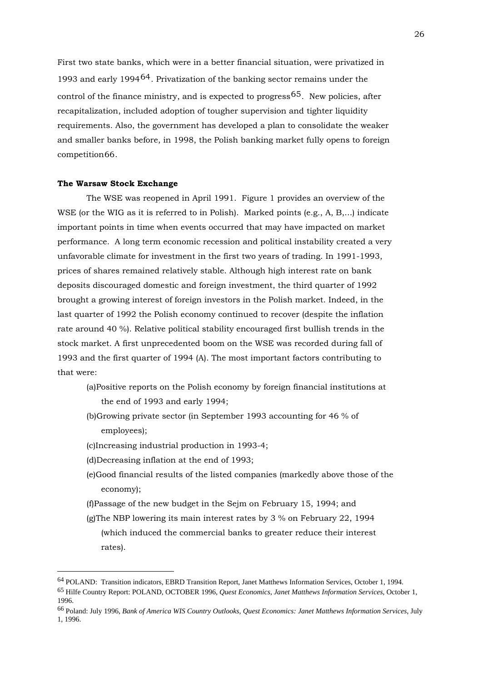First two state banks, which were in a better financial situation, were privatized in 1993 and early 1994[64](#page-25-0). Privatization of the banking sector remains under the control of the finance ministry, and is expected to progress  $65$ . New policies, after recapitalization, included adoption of tougher supervision and tighter liquidity requirements. Also, the government has developed a plan to consolidate the weaker and smaller banks before, in 1998, the Polish banking market fully opens to foreign competition[66](#page-25-2).

#### **The Warsaw Stock Exchange**

 The WSE was reopened in April 1991. Figure 1 provides an overview of the WSE (or the WIG as it is referred to in Polish). Marked points (e.g., A, B,...) indicate important points in time when events occurred that may have impacted on market performance. A long term economic recession and political instability created a very unfavorable climate for investment in the first two years of trading. In 1991-1993, prices of shares remained relatively stable. Although high interest rate on bank deposits discouraged domestic and foreign investment, the third quarter of 1992 brought a growing interest of foreign investors in the Polish market. Indeed, in the last quarter of 1992 the Polish economy continued to recover (despite the inflation rate around 40 %). Relative political stability encouraged first bullish trends in the stock market. A first unprecedented boom on the WSE was recorded during fall of 1993 and the first quarter of 1994 (A). The most important factors contributing to that were:

- (a)Positive reports on the Polish economy by foreign financial institutions at the end of 1993 and early 1994;
- (b)Growing private sector (in September 1993 accounting for 46 % of employees);
- (c)Increasing industrial production in 1993-4;
- (d)Decreasing inflation at the end of 1993;

- (e)Good financial results of the listed companies (markedly above those of the economy);
- (f)Passage of the new budget in the Sejm on February 15, 1994; and
- (g)The NBP lowering its main interest rates by 3 % on February 22, 1994 (which induced the commercial banks to greater reduce their interest rates).

<span id="page-25-0"></span><sup>64</sup> POLAND: Transition indicators, EBRD Transition Report, Janet Matthews Information Services, October 1, 1994.

<span id="page-25-1"></span><sup>65</sup> Hilfe Country Report: POLAND, OCTOBER 1996, *Quest Economics, Janet Matthews Information Services*, October 1, 1996.

<span id="page-25-2"></span><sup>66</sup> Poland: July 1996, *Bank of America WIS Country Outlooks, Quest Economics: Janet Matthews Information Services*, July 1, 1996.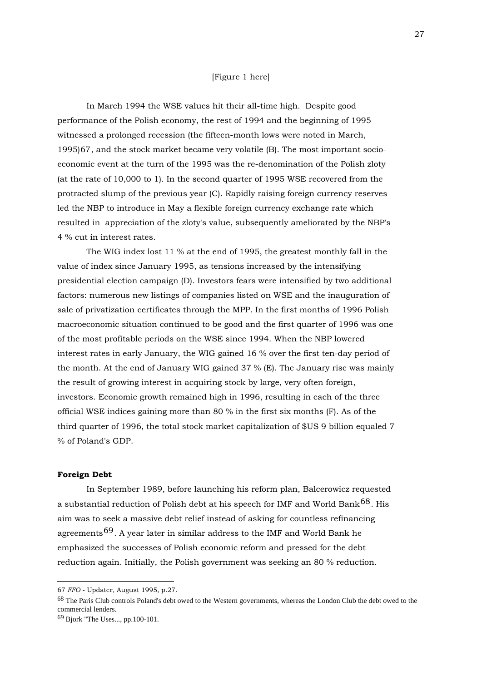#### [Figure 1 here]

 In March 1994 the WSE values hit their all-time high. Despite good performance of the Polish economy, the rest of 1994 and the beginning of 1995 witnessed a prolonged recession (the fifteen-month lows were noted in March, 1995)[67](#page-26-0), and the stock market became very volatile (B). The most important socioeconomic event at the turn of the 1995 was the re-denomination of the Polish zloty (at the rate of 10,000 to 1). In the second quarter of 1995 WSE recovered from the protracted slump of the previous year (C). Rapidly raising foreign currency reserves led the NBP to introduce in May a flexible foreign currency exchange rate which resulted in appreciation of the zloty's value, subsequently ameliorated by the NBP's 4 % cut in interest rates.

 The WIG index lost 11 % at the end of 1995, the greatest monthly fall in the value of index since January 1995, as tensions increased by the intensifying presidential election campaign (D). Investors fears were intensified by two additional factors: numerous new listings of companies listed on WSE and the inauguration of sale of privatization certificates through the MPP. In the first months of 1996 Polish macroeconomic situation continued to be good and the first quarter of 1996 was one of the most profitable periods on the WSE since 1994. When the NBP lowered interest rates in early January, the WIG gained 16 % over the first ten-day period of the month. At the end of January WIG gained 37 % (E). The January rise was mainly the result of growing interest in acquiring stock by large, very often foreign, investors. Economic growth remained high in 1996, resulting in each of the three official WSE indices gaining more than 80 % in the first six months (F). As of the third quarter of 1996, the total stock market capitalization of \$US 9 billion equaled 7 % of Poland's GDP.

#### **Foreign Debt**

<u>.</u>

 In September 1989, before launching his reform plan, Balcerowicz requested a substantial reduction of Polish debt at his speech for IMF and World Bank<sup>[68](#page-26-1)</sup>. His aim was to seek a massive debt relief instead of asking for countless refinancing agreements<sup>[69](#page-26-2)</sup>. A year later in similar address to the IMF and World Bank he emphasized the successes of Polish economic reform and pressed for the debt reduction again. Initially, the Polish government was seeking an 80 % reduction.

<span id="page-26-0"></span><sup>67</sup> *FFO* - Updater, August 1995, p.27.

<span id="page-26-1"></span><sup>68</sup> The Paris Club controls Poland's debt owed to the Western governments, whereas the London Club the debt owed to the commercial lenders.

<span id="page-26-2"></span><sup>69</sup> Bjork "The Uses..., pp.100-101.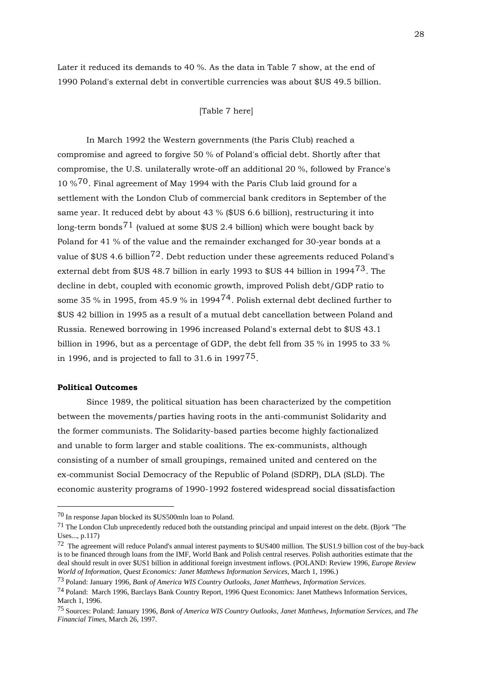Later it reduced its demands to 40 %. As the data in Table 7 show, at the end of 1990 Poland's external debt in convertible currencies was about \$US 49.5 billion.

## [Table 7 here]

 In March 1992 the Western governments (the Paris Club) reached a compromise and agreed to forgive 50 % of Poland's official debt. Shortly after that compromise, the U.S. unilaterally wrote-off an additional 20 %, followed by France's  $10\,\%$ <sup>[70](#page-27-0)</sup>. Final agreement of May 1994 with the Paris Club laid ground for a settlement with the London Club of commercial bank creditors in September of the same year. It reduced debt by about 43 % (\$US 6.6 billion), restructuring it into long-term bonds<sup>[71](#page-27-1)</sup> (valued at some  $US 2.4$  billion) which were bought back by Poland for 41 % of the value and the remainder exchanged for 30-year bonds at a value of  $US 4.6$  billion<sup>[72](#page-27-2)</sup>. Debt reduction under these agreements reduced Poland's external debt from \$US 48.7 billion in early 1993 to \$US 44 billion in 1994[73](#page-27-3). The decline in debt, coupled with economic growth, improved Polish debt/GDP ratio to some 35 % in 1995, from 45.9 % in 1994<sup>[74](#page-27-4)</sup>. Polish external debt declined further to \$US 42 billion in 1995 as a result of a mutual debt cancellation between Poland and Russia. Renewed borrowing in 1996 increased Poland's external debt to \$US 43.1 billion in 1996, but as a percentage of GDP, the debt fell from 35 % in 1995 to 33 % in 1996, and is projected to fall to  $31.6$  in  $1997<sup>75</sup>$  $1997<sup>75</sup>$  $1997<sup>75</sup>$ .

#### **Political Outcomes**

1

 Since 1989, the political situation has been characterized by the competition between the movements/parties having roots in the anti-communist Solidarity and the former communists. The Solidarity-based parties become highly factionalized and unable to form larger and stable coalitions. The ex-communists, although consisting of a number of small groupings, remained united and centered on the ex-communist Social Democracy of the Republic of Poland (SDRP), DLA (SLD). The economic austerity programs of 1990-1992 fostered widespread social dissatisfaction

<span id="page-27-0"></span><sup>70</sup> In response Japan blocked its \$US500mln loan to Poland.

<span id="page-27-1"></span><sup>71</sup> The London Club unprecedently reduced both the outstanding principal and unpaid interest on the debt. (Bjork "The Uses..., p.117)

<span id="page-27-2"></span><sup>72</sup> The agreement will reduce Poland's annual interest payments to \$US400 million. The \$US1.9 billion cost of the buy-back is to be financed through loans from the IMF, World Bank and Polish central reserves. Polish authorities estimate that the deal should result in over \$US1 billion in additional foreign investment inflows. (POLAND: Review 1996, *Europe Review World of Information, Quest Economics: Janet Matthews Information Services*, March 1, 1996.)

<span id="page-27-3"></span><sup>73</sup> Poland: January 1996, *Bank of America WIS Country Outlooks, Janet Matthews, Information Services*.

<span id="page-27-4"></span><sup>74</sup> Poland: March 1996, Barclays Bank Country Report, 1996 Quest Economics: Janet Matthews Information Services, March 1, 1996.

<span id="page-27-5"></span><sup>75</sup> Sources: Poland: January 1996, *Bank of America WIS Country Outlooks, Janet Matthews, Information Services*, and *The Financial Times*, March 26, 1997.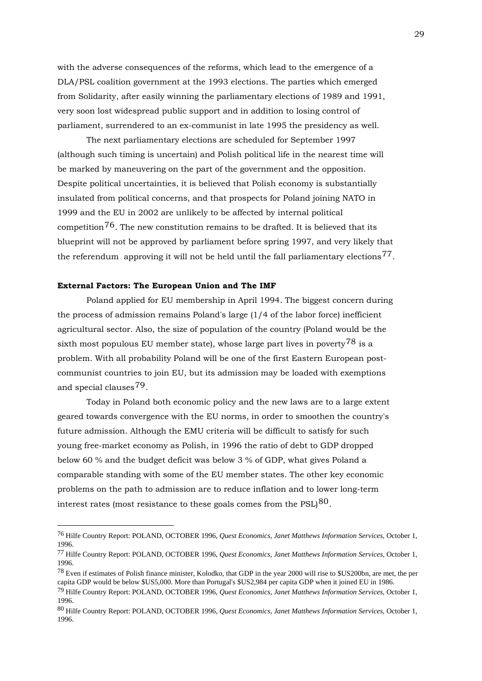with the adverse consequences of the reforms, which lead to the emergence of a DLA/PSL coalition government at the 1993 elections. The parties which emerged from Solidarity, after easily winning the parliamentary elections of 1989 and 1991, very soon lost widespread public support and in addition to losing control of parliament, surrendered to an ex-communist in late 1995 the presidency as well.

 The next parliamentary elections are scheduled for September 1997 (although such timing is uncertain) and Polish political life in the nearest time will be marked by maneuvering on the part of the government and the opposition. Despite political uncertainties, it is believed that Polish economy is substantially insulated from political concerns, and that prospects for Poland joining NATO in 1999 and the EU in 2002 are unlikely to be affected by internal political competition<sup>[76](#page-28-0)</sup>. The new constitution remains to be drafted. It is believed that its blueprint will not be approved by parliament before spring 1997, and very likely that the referendum approving it will not be held until the fall parliamentary elections<sup>[77](#page-28-1)</sup>.

#### **External Factors: The European Union and The IMF**

1

 Poland applied for EU membership in April 1994. The biggest concern during the process of admission remains Poland's large (1/4 of the labor force) inefficient agricultural sector. Also, the size of population of the country (Poland would be the sixth most populous EU member state), whose large part lives in poverty<sup>[78](#page-28-2)</sup> is a problem. With all probability Poland will be one of the first Eastern European postcommunist countries to join EU, but its admission may be loaded with exemptions and special clauses[79](#page-28-3).

 Today in Poland both economic policy and the new laws are to a large extent geared towards convergence with the EU norms, in order to smoothen the country's future admission. Although the EMU criteria will be difficult to satisfy for such young free-market economy as Polish, in 1996 the ratio of debt to GDP dropped below 60 % and the budget deficit was below 3 % of GDP, what gives Poland a comparable standing with some of the EU member states. The other key economic problems on the path to admission are to reduce inflation and to lower long-term interest rates (most resistance to these goals comes from the  $PSL|^{80}$  $PSL|^{80}$  $PSL|^{80}$ .

<span id="page-28-0"></span><sup>76</sup> Hilfe Country Report: POLAND, OCTOBER 1996, *Quest Economics, Janet Matthews Information Services*, October 1, 1996.

<span id="page-28-1"></span><sup>77</sup> Hilfe Country Report: POLAND, OCTOBER 1996, *Quest Economics, Janet Matthews Information Services*, October 1, 1996.

<span id="page-28-2"></span><sup>78</sup> Even if estimates of Polish finance minister, Kolodko, that GDP in the year 2000 will rise to \$US200bn, are met, the per capita GDP would be below \$US5,000. More than Portugal's \$US2,984 per capita GDP when it joined EU in 1986.

<span id="page-28-3"></span><sup>79</sup> Hilfe Country Report: POLAND, OCTOBER 1996, *Quest Economics, Janet Matthews Information Services*, October 1, 1996.

<span id="page-28-4"></span><sup>80</sup> Hilfe Country Report: POLAND, OCTOBER 1996, *Quest Economics, Janet Matthews Information Services*, October 1, 1996.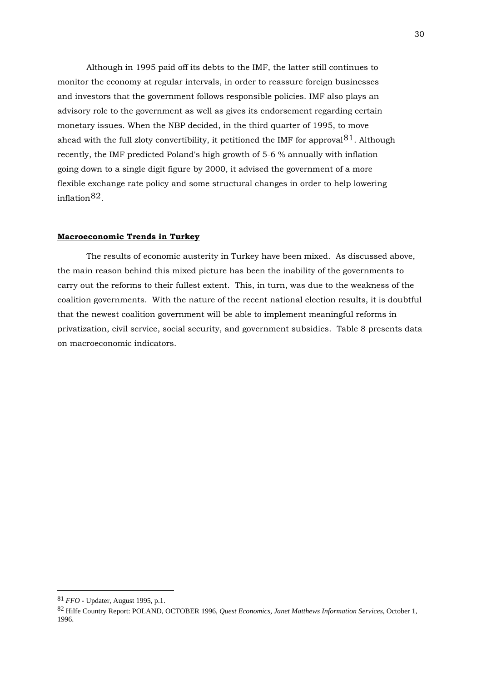Although in 1995 paid off its debts to the IMF, the latter still continues to monitor the economy at regular intervals, in order to reassure foreign businesses and investors that the government follows responsible policies. IMF also plays an advisory role to the government as well as gives its endorsement regarding certain monetary issues. When the NBP decided, in the third quarter of 1995, to move ahead with the full zloty convertibility, it petitioned the IMF for approval  $81$ . Although recently, the IMF predicted Poland's high growth of 5-6 % annually with inflation going down to a single digit figure by 2000, it advised the government of a more flexible exchange rate policy and some structural changes in order to help lowering inflation[82](#page-29-1).

#### **Macroeconomic Trends in Turkey**

 The results of economic austerity in Turkey have been mixed. As discussed above, the main reason behind this mixed picture has been the inability of the governments to carry out the reforms to their fullest extent. This, in turn, was due to the weakness of the coalition governments. With the nature of the recent national election results, it is doubtful that the newest coalition government will be able to implement meaningful reforms in privatization, civil service, social security, and government subsidies. Table 8 presents data on macroeconomic indicators.

<u>.</u>

<span id="page-29-1"></span><span id="page-29-0"></span><sup>81</sup> *FFO* - Updater, August 1995, p.1.

<sup>82</sup> Hilfe Country Report: POLAND, OCTOBER 1996, *Quest Economics, Janet Matthews Information Services*, October 1, 1996.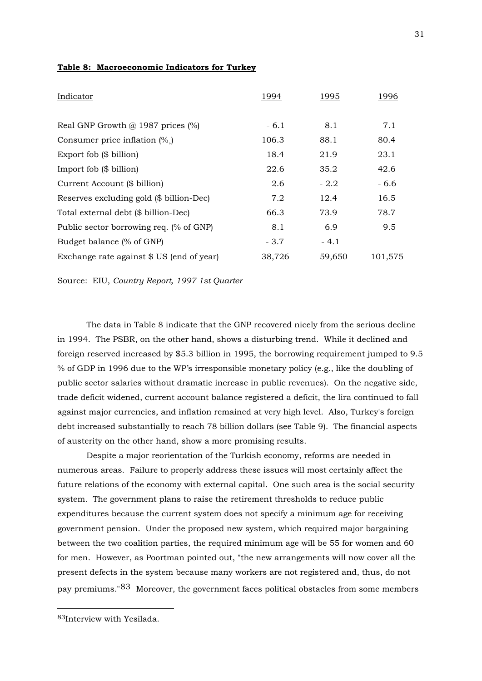|  | Table 8: Macroeconomic Indicators for Turkey |  |  |
|--|----------------------------------------------|--|--|
|  |                                              |  |  |

| Indicator                                  | 1994   | <u>1995</u> | <u>1996</u> |
|--------------------------------------------|--------|-------------|-------------|
|                                            |        |             |             |
| Real GNP Growth $\omega$ 1987 prices (%)   | $-6.1$ | 8.1         | 7.1         |
| Consumer price inflation $(\%$ )           | 106.3  | 88.1        | 80.4        |
| Export fob $(\$$ billion)                  | 18.4   | 21.9        | 23.1        |
| Import fob $(\$$ billion)                  | 22.6   | 35.2        | 42.6        |
| Current Account (\$ billion)               | 2.6    | $-2.2$      | $-6.6$      |
| Reserves excluding gold (\$ billion-Dec)   | 7.2    | 12.4        | 16.5        |
| Total external debt (\$ billion-Dec)       | 66.3   | 73.9        | 78.7        |
| Public sector borrowing req. (% of GNP)    | 8.1    | 6.9         | 9.5         |
| Budget balance (% of GNP)                  | $-3.7$ | $-4.1$      |             |
| Exchange rate against $$ US (end of year)$ | 38,726 | 59,650      | 101,575     |

Source: EIU, *Country Report, 1997 1st Quarter*

 The data in Table 8 indicate that the GNP recovered nicely from the serious decline in 1994. The PSBR, on the other hand, shows a disturbing trend. While it declined and foreign reserved increased by \$5.3 billion in 1995, the borrowing requirement jumped to 9.5 % of GDP in 1996 due to the WP's irresponsible monetary policy (e.g., like the doubling of public sector salaries without dramatic increase in public revenues). On the negative side, trade deficit widened, current account balance registered a deficit, the lira continued to fall against major currencies, and inflation remained at very high level. Also, Turkey's foreign debt increased substantially to reach 78 billion dollars (see Table 9). The financial aspects of austerity on the other hand, show a more promising results.

 Despite a major reorientation of the Turkish economy, reforms are needed in numerous areas. Failure to properly address these issues will most certainly affect the future relations of the economy with external capital. One such area is the social security system. The government plans to raise the retirement thresholds to reduce public expenditures because the current system does not specify a minimum age for receiving government pension. Under the proposed new system, which required major bargaining between the two coalition parties, the required minimum age will be 55 for women and 60 for men. However, as Poortman pointed out, "the new arrangements will now cover all the present defects in the system because many workers are not registered and, thus, do not pay premiums."[83](#page-30-0) Moreover, the government faces political obstacles from some members

<span id="page-30-0"></span><sup>83</sup>Interview with Yesilada.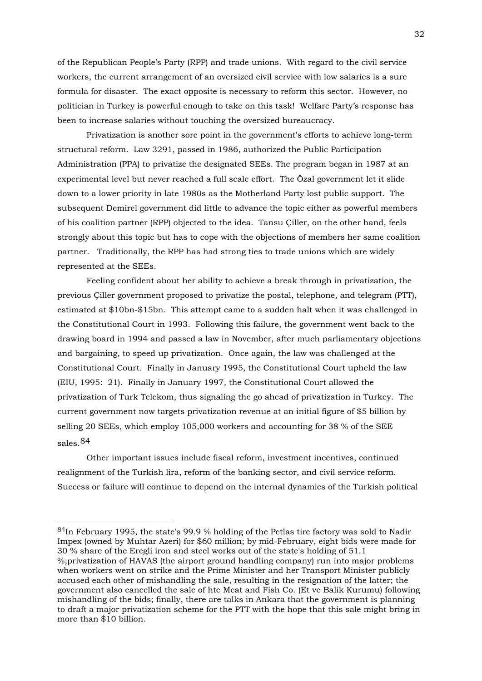of the Republican People's Party (RPP) and trade unions. With regard to the civil service workers, the current arrangement of an oversized civil service with low salaries is a sure formula for disaster. The exact opposite is necessary to reform this sector. However, no politician in Turkey is powerful enough to take on this task! Welfare Party's response has been to increase salaries without touching the oversized bureaucracy.

 Privatization is another sore point in the government's efforts to achieve long-term structural reform. Law 3291, passed in 1986, authorized the Public Participation Administration (PPA) to privatize the designated SEEs. The program began in 1987 at an experimental level but never reached a full scale effort. The Özal government let it slide down to a lower priority in late 1980s as the Motherland Party lost public support. The subsequent Demirel government did little to advance the topic either as powerful members of his coalition partner (RPP) objected to the idea. Tansu Çiller, on the other hand, feels strongly about this topic but has to cope with the objections of members her same coalition partner. Traditionally, the RPP has had strong ties to trade unions which are widely represented at the SEEs.

 Feeling confident about her ability to achieve a break through in privatization, the previous Çiller government proposed to privatize the postal, telephone, and telegram (PTT), estimated at \$10bn-\$15bn. This attempt came to a sudden halt when it was challenged in the Constitutional Court in 1993. Following this failure, the government went back to the drawing board in 1994 and passed a law in November, after much parliamentary objections and bargaining, to speed up privatization. Once again, the law was challenged at the Constitutional Court. Finally in January 1995, the Constitutional Court upheld the law (EIU, 1995: 21). Finally in January 1997, the Constitutional Court allowed the privatization of Turk Telekom, thus signaling the go ahead of privatization in Turkey. The current government now targets privatization revenue at an initial figure of \$5 billion by selling 20 SEEs, which employ 105,000 workers and accounting for 38 % of the SEE sales.[84](#page-31-0)

 Other important issues include fiscal reform, investment incentives, continued realignment of the Turkish lira, reform of the banking sector, and civil service reform. Success or failure will continue to depend on the internal dynamics of the Turkish political

<span id="page-31-0"></span><sup>84</sup>In February 1995, the state's 99.9 % holding of the Petlas tire factory was sold to Nadir Impex (owned by Muhtar Azeri) for \$60 million; by mid-February, eight bids were made for 30 % share of the Eregli iron and steel works out of the state's holding of 51.1 %;privatization of HAVAS (the airport ground handling company) run into major problems when workers went on strike and the Prime Minister and her Transport Minister publicly accused each other of mishandling the sale, resulting in the resignation of the latter; the government also cancelled the sale of hte Meat and Fish Co. (Et ve Balik Kurumu) following mishandling of the bids; finally, there are talks in Ankara that the government is planning to draft a major privatization scheme for the PTT with the hope that this sale might bring in more than \$10 billion.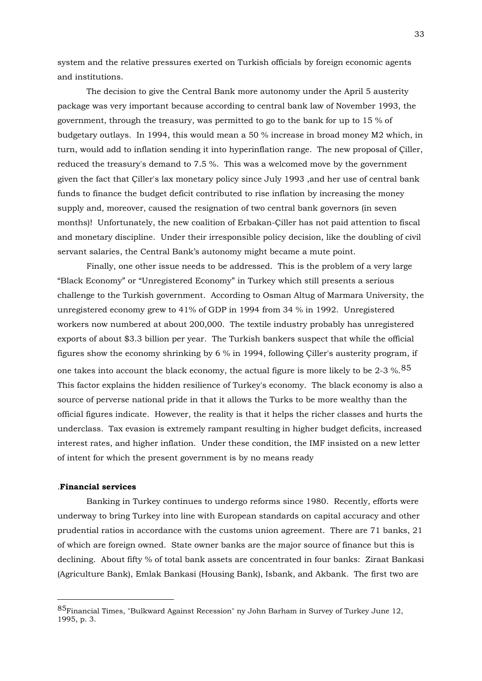system and the relative pressures exerted on Turkish officials by foreign economic agents and institutions.

 The decision to give the Central Bank more autonomy under the April 5 austerity package was very important because according to central bank law of November 1993, the government, through the treasury, was permitted to go to the bank for up to 15 % of budgetary outlays. In 1994, this would mean a 50 % increase in broad money M2 which, in turn, would add to inflation sending it into hyperinflation range. The new proposal of Çiller, reduced the treasury's demand to 7.5 %. This was a welcomed move by the government given the fact that Çiller's lax monetary policy since July 1993 ,and her use of central bank funds to finance the budget deficit contributed to rise inflation by increasing the money supply and, moreover, caused the resignation of two central bank governors (in seven months)! Unfortunately, the new coalition of Erbakan-Çiller has not paid attention to fiscal and monetary discipline. Under their irresponsible policy decision, like the doubling of civil servant salaries, the Central Bank's autonomy might became a mute point.

 Finally, one other issue needs to be addressed. This is the problem of a very large "Black Economy" or "Unregistered Economy" in Turkey which still presents a serious challenge to the Turkish government. According to Osman Altug of Marmara University, the unregistered economy grew to 41% of GDP in 1994 from 34 % in 1992. Unregistered workers now numbered at about 200,000. The textile industry probably has unregistered exports of about \$3.3 billion per year. The Turkish bankers suspect that while the official figures show the economy shrinking by 6 % in 1994, following Çiller's austerity program, if one takes into account the black economy, the actual figure is more likely to be 2-3  $\%$ .  $85$ This factor explains the hidden resilience of Turkey's economy. The black economy is also a source of perverse national pride in that it allows the Turks to be more wealthy than the official figures indicate. However, the reality is that it helps the richer classes and hurts the underclass. Tax evasion is extremely rampant resulting in higher budget deficits, increased interest rates, and higher inflation. Under these condition, the IMF insisted on a new letter of intent for which the present government is by no means ready

## .**Financial services**

1

 Banking in Turkey continues to undergo reforms since 1980. Recently, efforts were underway to bring Turkey into line with European standards on capital accuracy and other prudential ratios in accordance with the customs union agreement. There are 71 banks, 21 of which are foreign owned. State owner banks are the major source of finance but this is declining. About fifty % of total bank assets are concentrated in four banks: Ziraat Bankasi (Agriculture Bank), Emlak Bankasi (Housing Bank), Isbank, and Akbank. The first two are

<span id="page-32-0"></span><sup>85</sup>Financial Times, "Bulkward Against Recession" ny John Barham in Survey of Turkey June 12, 1995, p. 3.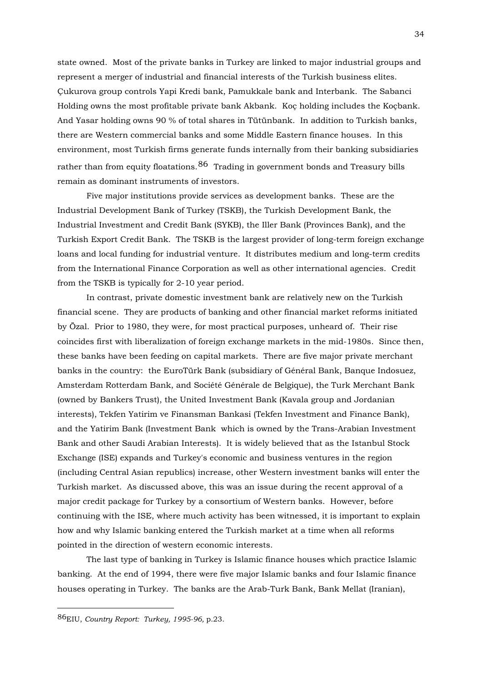state owned. Most of the private banks in Turkey are linked to major industrial groups and represent a merger of industrial and financial interests of the Turkish business elites. Çukurova group controls Yapi Kredi bank, Pamukkale bank and Interbank. The Sabanci Holding owns the most profitable private bank Akbank. Koç holding includes the Koçbank. And Yasar holding owns 90 % of total shares in Tütünbank. In addition to Turkish banks, there are Western commercial banks and some Middle Eastern finance houses. In this environment, most Turkish firms generate funds internally from their banking subsidiaries rather than from equity floatations.  $86$  Trading in government bonds and Treasury bills remain as dominant instruments of investors.

 Five major institutions provide services as development banks. These are the Industrial Development Bank of Turkey (TSKB), the Turkish Development Bank, the Industrial Investment and Credit Bank (SYKB), the Iller Bank (Provinces Bank), and the Turkish Export Credit Bank. The TSKB is the largest provider of long-term foreign exchange loans and local funding for industrial venture. It distributes medium and long-term credits from the International Finance Corporation as well as other international agencies. Credit from the TSKB is typically for 2-10 year period.

 In contrast, private domestic investment bank are relatively new on the Turkish financial scene. They are products of banking and other financial market reforms initiated by Özal. Prior to 1980, they were, for most practical purposes, unheard of. Their rise coincides first with liberalization of foreign exchange markets in the mid-1980s. Since then, these banks have been feeding on capital markets. There are five major private merchant banks in the country: the EuroTürk Bank (subsidiary of Général Bank, Banque Indosuez, Amsterdam Rotterdam Bank, and Société Générale de Belgique), the Turk Merchant Bank (owned by Bankers Trust), the United Investment Bank (Kavala group and Jordanian interests), Tekfen Yatirim ve Finansman Bankasi (Tekfen Investment and Finance Bank), and the Yatirim Bank (Investment Bank which is owned by the Trans-Arabian Investment Bank and other Saudi Arabian Interests). It is widely believed that as the Istanbul Stock Exchange (ISE) expands and Turkey's economic and business ventures in the region (including Central Asian republics) increase, other Western investment banks will enter the Turkish market. As discussed above, this was an issue during the recent approval of a major credit package for Turkey by a consortium of Western banks. However, before continuing with the ISE, where much activity has been witnessed, it is important to explain how and why Islamic banking entered the Turkish market at a time when all reforms pointed in the direction of western economic interests.

 The last type of banking in Turkey is Islamic finance houses which practice Islamic banking. At the end of 1994, there were five major Islamic banks and four Islamic finance houses operating in Turkey. The banks are the Arab-Turk Bank, Bank Mellat (Iranian),

<span id="page-33-0"></span><sup>86</sup>EIU, *Country Report: Turkey, 1995-96,* p.23.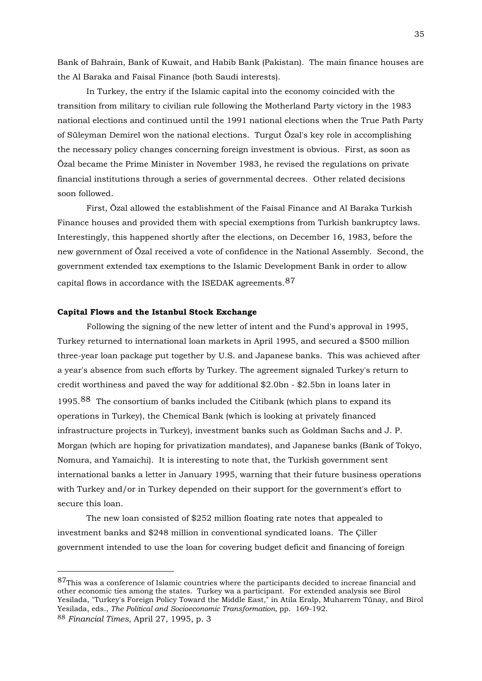Bank of Bahrain, Bank of Kuwait, and Habib Bank (Pakistan). The main finance houses are the Al Baraka and Faisal Finance (both Saudi interests).

 In Turkey, the entry if the Islamic capital into the economy coincided with the transition from military to civilian rule following the Motherland Party victory in the 1983 national elections and continued until the 1991 national elections when the True Path Party of Süleyman Demirel won the national elections. Turgut Özal's key role in accomplishing the necessary policy changes concerning foreign investment is obvious. First, as soon as Özal became the Prime Minister in November 1983, he revised the regulations on private financial institutions through a series of governmental decrees. Other related decisions soon followed.

 First, Özal allowed the establishment of the Faisal Finance and Al Baraka Turkish Finance houses and provided them with special exemptions from Turkish bankruptcy laws. Interestingly, this happened shortly after the elections, on December 16, 1983, before the new government of Özal received a vote of confidence in the National Assembly. Second, the government extended tax exemptions to the Islamic Development Bank in order to allow capital flows in accordance with the ISEDAK agreements.[87](#page-34-0)

## **Capital Flows and the Istanbul Stock Exchange**

1

 Following the signing of the new letter of intent and the Fund's approval in 1995, Turkey returned to international loan markets in April 1995, and secured a \$500 million three-year loan package put together by U.S. and Japanese banks. This was achieved after a year's absence from such efforts by Turkey. The agreement signaled Turkey's return to credit worthiness and paved the way for additional \$2.0bn - \$2.5bn in loans later in 1995.[88](#page-34-1) The consortium of banks included the Citibank (which plans to expand its operations in Turkey), the Chemical Bank (which is looking at privately financed infrastructure projects in Turkey), investment banks such as Goldman Sachs and J. P. Morgan (which are hoping for privatization mandates), and Japanese banks (Bank of Tokyo, Nomura, and Yamaichi). It is interesting to note that, the Turkish government sent international banks a letter in January 1995, warning that their future business operations with Turkey and/or in Turkey depended on their support for the government's effort to secure this loan.

 The new loan consisted of \$252 million floating rate notes that appealed to investment banks and \$248 million in conventional syndicated loans. The Çiller government intended to use the loan for covering budget deficit and financing of foreign

<span id="page-34-1"></span><span id="page-34-0"></span><sup>87</sup>This was a conference of Islamic countries where the participants decided to increae financial and other economic ties among the states. Turkey wa a participant. For extended analysis see Birol Yesilada, "Turkey's Foreign Policy Toward the Middle East," in Atila Eralp, Muharrem Tünay, and Birol Yesilada, eds., *The Political and Socioeconomic Transformation,* pp. 169-192. 88 *Financial Times*, April 27, 1995, p. 3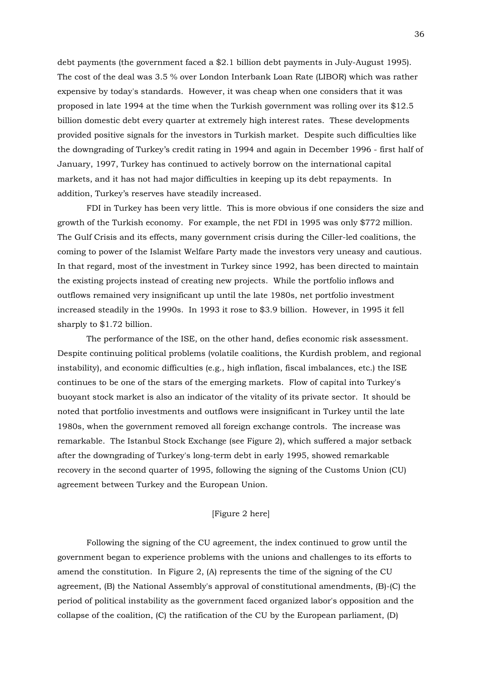debt payments (the government faced a \$2.1 billion debt payments in July-August 1995). The cost of the deal was 3.5 % over London Interbank Loan Rate (LIBOR) which was rather expensive by today's standards. However, it was cheap when one considers that it was proposed in late 1994 at the time when the Turkish government was rolling over its \$12.5 billion domestic debt every quarter at extremely high interest rates. These developments provided positive signals for the investors in Turkish market. Despite such difficulties like the downgrading of Turkey's credit rating in 1994 and again in December 1996 - first half of January, 1997, Turkey has continued to actively borrow on the international capital markets, and it has not had major difficulties in keeping up its debt repayments. In addition, Turkey's reserves have steadily increased.

 FDI in Turkey has been very little. This is more obvious if one considers the size and growth of the Turkish economy. For example, the net FDI in 1995 was only \$772 million. The Gulf Crisis and its effects, many government crisis during the Ciller-led coalitions, the coming to power of the Islamist Welfare Party made the investors very uneasy and cautious. In that regard, most of the investment in Turkey since 1992, has been directed to maintain the existing projects instead of creating new projects. While the portfolio inflows and outflows remained very insignificant up until the late 1980s, net portfolio investment increased steadily in the 1990s. In 1993 it rose to \$3.9 billion. However, in 1995 it fell sharply to \$1.72 billion.

 The performance of the ISE, on the other hand, defies economic risk assessment. Despite continuing political problems (volatile coalitions, the Kurdish problem, and regional instability), and economic difficulties (e.g., high inflation, fiscal imbalances, etc.) the ISE continues to be one of the stars of the emerging markets. Flow of capital into Turkey's buoyant stock market is also an indicator of the vitality of its private sector. It should be noted that portfolio investments and outflows were insignificant in Turkey until the late 1980s, when the government removed all foreign exchange controls. The increase was remarkable. The Istanbul Stock Exchange (see Figure 2), which suffered a major setback after the downgrading of Turkey's long-term debt in early 1995, showed remarkable recovery in the second quarter of 1995, following the signing of the Customs Union (CU) agreement between Turkey and the European Union.

## [Figure 2 here]

 Following the signing of the CU agreement, the index continued to grow until the government began to experience problems with the unions and challenges to its efforts to amend the constitution. In Figure 2, (A) represents the time of the signing of the CU agreement, (B) the National Assembly's approval of constitutional amendments, (B)-(C) the period of political instability as the government faced organized labor's opposition and the collapse of the coalition, (C) the ratification of the CU by the European parliament, (D)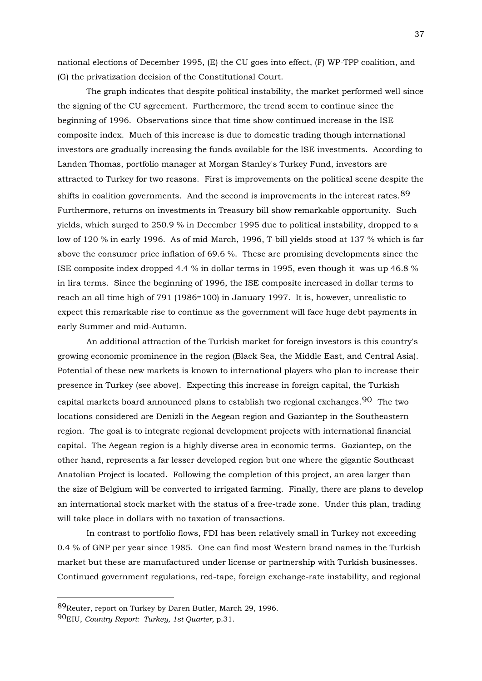national elections of December 1995, (E) the CU goes into effect, (F) WP-TPP coalition, and (G) the privatization decision of the Constitutional Court.

 The graph indicates that despite political instability, the market performed well since the signing of the CU agreement. Furthermore, the trend seem to continue since the beginning of 1996. Observations since that time show continued increase in the ISE composite index. Much of this increase is due to domestic trading though international investors are gradually increasing the funds available for the ISE investments. According to Landen Thomas, portfolio manager at Morgan Stanley's Turkey Fund, investors are attracted to Turkey for two reasons. First is improvements on the political scene despite the shifts in coalition governments. And the second is improvements in the interest rates. <sup>[89](#page-36-0)</sup> Furthermore, returns on investments in Treasury bill show remarkable opportunity. Such yields, which surged to 250.9 % in December 1995 due to political instability, dropped to a low of 120 % in early 1996. As of mid-March, 1996, T-bill yields stood at 137 % which is far above the consumer price inflation of 69.6 %. These are promising developments since the ISE composite index dropped 4.4 % in dollar terms in 1995, even though it was up 46.8 % in lira terms. Since the beginning of 1996, the ISE composite increased in dollar terms to reach an all time high of 791 (1986=100) in January 1997. It is, however, unrealistic to expect this remarkable rise to continue as the government will face huge debt payments in early Summer and mid-Autumn.

 An additional attraction of the Turkish market for foreign investors is this country's growing economic prominence in the region (Black Sea, the Middle East, and Central Asia). Potential of these new markets is known to international players who plan to increase their presence in Turkey (see above). Expecting this increase in foreign capital, the Turkish capital markets board announced plans to establish two regional exchanges.[90](#page-36-1) The two locations considered are Denizli in the Aegean region and Gaziantep in the Southeastern region. The goal is to integrate regional development projects with international financial capital. The Aegean region is a highly diverse area in economic terms. Gaziantep, on the other hand, represents a far lesser developed region but one where the gigantic Southeast Anatolian Project is located. Following the completion of this project, an area larger than the size of Belgium will be converted to irrigated farming. Finally, there are plans to develop an international stock market with the status of a free-trade zone. Under this plan, trading will take place in dollars with no taxation of transactions.

 In contrast to portfolio flows, FDI has been relatively small in Turkey not exceeding 0.4 % of GNP per year since 1985. One can find most Western brand names in the Turkish market but these are manufactured under license or partnership with Turkish businesses. Continued government regulations, red-tape, foreign exchange-rate instability, and regional

<span id="page-36-0"></span><sup>89</sup>Reuter, report on Turkey by Daren Butler, March 29, 1996.

<span id="page-36-1"></span><sup>90</sup>EIU, *Country Report: Turkey, 1st Quarter,* p.31.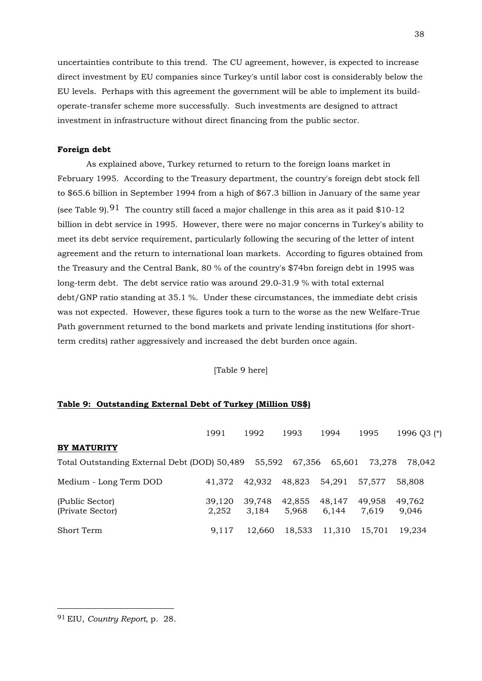uncertainties contribute to this trend. The CU agreement, however, is expected to increase direct investment by EU companies since Turkey's until labor cost is considerably below the EU levels. Perhaps with this agreement the government will be able to implement its buildoperate-transfer scheme more successfully. Such investments are designed to attract investment in infrastructure without direct financing from the public sector.

#### **Foreign debt**

 As explained above, Turkey returned to return to the foreign loans market in February 1995. According to the Treasury department, the country's foreign debt stock fell to \$65.6 billion in September 1994 from a high of \$67.3 billion in January of the same year (see Table 9).<sup>[91](#page-37-0)</sup> The country still faced a major challenge in this area as it paid \$10-12 billion in debt service in 1995. However, there were no major concerns in Turkey's ability to meet its debt service requirement, particularly following the securing of the letter of intent agreement and the return to international loan markets. According to figures obtained from the Treasury and the Central Bank, 80 % of the country's \$74bn foreign debt in 1995 was long-term debt. The debt service ratio was around 29.0-31.9 % with total external debt/GNP ratio standing at 35.1 %. Under these circumstances, the immediate debt crisis was not expected. However, these figures took a turn to the worse as the new Welfare-True Path government returned to the bond markets and private lending institutions (for shortterm credits) rather aggressively and increased the debt burden once again.

[Table 9 here]

#### **Table 9: Outstanding External Debt of Turkey (Million US\$)**

|                                              | 1991            | 1992            | 1993            | 1994            | 1995            | 1996 Q3 (*)     |
|----------------------------------------------|-----------------|-----------------|-----------------|-----------------|-----------------|-----------------|
| <b>BY MATURITY</b>                           |                 |                 |                 |                 |                 |                 |
| Total Outstanding External Debt (DOD) 50,489 |                 | 55.592          | 67,356          | 65,601          | 73.278          | 78.042          |
| Medium - Long Term DOD                       | 41.372          | 42.932          | 48,823          | 54.291          | 57.577          | 58,808          |
| (Public Sector)<br>(Private Sector)          | 39,120<br>2,252 | 39,748<br>3,184 | 42,855<br>5.968 | 48,147<br>6,144 | 49,958<br>7.619 | 49,762<br>9,046 |
| Short Term                                   | 9.117           | 12.660          | 18,533          | 11,310          | 15.701          | 19.234          |

<span id="page-37-0"></span><sup>91</sup> EIU, *Country Report*, p. 28.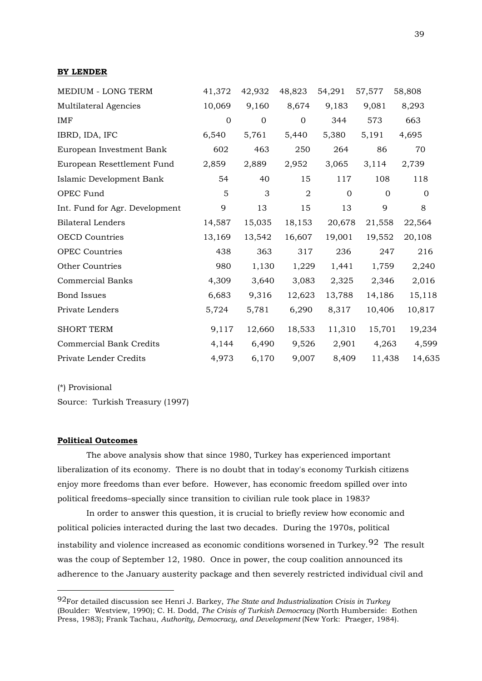| MEDIUM - LONG TERM             | 41,372       | 42,932      | 48,823         | 54,291                  | 57,577 | 58,808       |
|--------------------------------|--------------|-------------|----------------|-------------------------|--------|--------------|
| Multilateral Agencies          | 10,069       | 9,160       | 8,674          | 9,183                   | 9,081  | 8,293        |
| IMF                            | $\mathbf{0}$ | $\mathbf 0$ | $\mathbf{0}$   | 344                     | 573    | 663          |
| IBRD, IDA, IFC                 | 6,540        | 5,761       | 5,440          | 5,380                   | 5,191  | 4,695        |
| European Investment Bank       | 602          | 463         | 250            | 264                     | 86     | 70           |
| European Resettlement Fund     | 2,859        | 2,889       | 2,952          | 3,065                   | 3,114  | 2,739        |
| Islamic Development Bank       | 54           | 40          | 15             | 117                     | 108    | 118          |
| OPEC Fund                      | 5            | 3           | $\overline{2}$ | $\Omega$<br>$\mathbf 0$ |        | $\mathbf{0}$ |
| Int. Fund for Agr. Development | 9            | 13          | 15             | 13                      | 9      | 8            |
| <b>Bilateral Lenders</b>       | 14,587       | 15,035      | 18,153         | 20,678                  | 21,558 | 22,564       |
| <b>OECD</b> Countries          | 13,169       | 13,542      | 16,607         | 19,001                  | 19,552 | 20,108       |
| <b>OPEC Countries</b>          | 438          | 363         | 317            | 236                     | 247    | 216          |
| Other Countries                | 980          | 1,130       | 1,229          | 1,441                   | 1,759  | 2,240        |
| <b>Commercial Banks</b>        | 4,309        | 3,640       | 3,083          | 2,325                   | 2,346  | 2,016        |
| <b>Bond Issues</b>             | 6,683        | 9,316       | 12,623         | 13,788                  | 14,186 | 15,118       |
| Private Lenders                | 5,724        | 5,781       | 6,290          | 8,317                   | 10,406 | 10,817       |
| <b>SHORT TERM</b>              | 9,117        | 12,660      | 18,533         | 11,310                  | 15,701 | 19,234       |
| <b>Commercial Bank Credits</b> | 4,144        | 6,490       | 9,526          | 2,901                   | 4,263  | 4,599        |
| Private Lender Credits         | 4,973        | 6,170       | 9,007          | 8,409                   | 11,438 | 14,635       |

(\*) Provisional

1

Source: Turkish Treasury (1997)

#### **Political Outcomes**

 The above analysis show that since 1980, Turkey has experienced important liberalization of its economy. There is no doubt that in today's economy Turkish citizens enjoy more freedoms than ever before. However, has economic freedom spilled over into political freedoms–specially since transition to civilian rule took place in 1983?

 In order to answer this question, it is crucial to briefly review how economic and political policies interacted during the last two decades. During the 1970s, political instability and violence increased as economic conditions worsened in Turkey.<sup>[92](#page-38-0)</sup> The result was the coup of September 12, 1980. Once in power, the coup coalition announced its adherence to the January austerity package and then severely restricted individual civil and

<span id="page-38-0"></span><sup>92</sup>For detailed discussion see Henri J. Barkey, *The State and Industrialization Crisis in Turkey* (Boulder: Westview, 1990); C. H. Dodd, *The Crisis of Turkish Democracy* (North Humberside: Eothen Press, 1983); Frank Tachau, *Authority, Democracy, and Development* (New York: Praeger, 1984).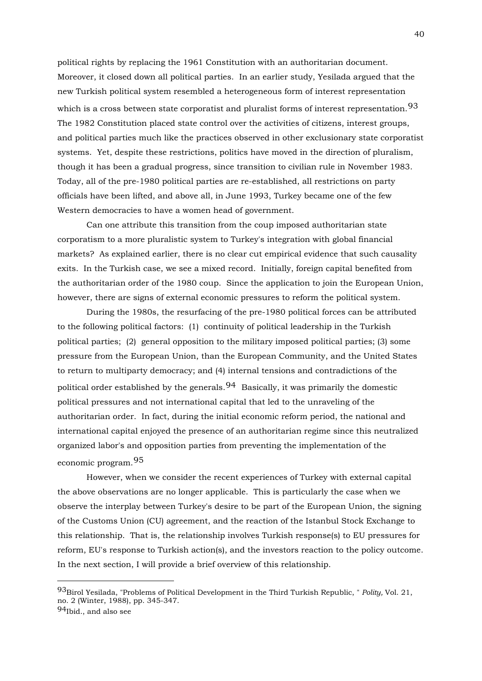political rights by replacing the 1961 Constitution with an authoritarian document. Moreover, it closed down all political parties. In an earlier study, Yesilada argued that the new Turkish political system resembled a heterogeneous form of interest representation which is a cross between state corporatist and pluralist forms of interest representation.<sup>[93](#page-39-0)</sup> The 1982 Constitution placed state control over the activities of citizens, interest groups, and political parties much like the practices observed in other exclusionary state corporatist systems. Yet, despite these restrictions, politics have moved in the direction of pluralism, though it has been a gradual progress, since transition to civilian rule in November 1983. Today, all of the pre-1980 political parties are re-established, all restrictions on party officials have been lifted, and above all, in June 1993, Turkey became one of the few Western democracies to have a women head of government.

 Can one attribute this transition from the coup imposed authoritarian state corporatism to a more pluralistic system to Turkey's integration with global financial markets? As explained earlier, there is no clear cut empirical evidence that such causality exits. In the Turkish case, we see a mixed record. Initially, foreign capital benefited from the authoritarian order of the 1980 coup. Since the application to join the European Union, however, there are signs of external economic pressures to reform the political system.

 During the 1980s, the resurfacing of the pre-1980 political forces can be attributed to the following political factors: (1) continuity of political leadership in the Turkish political parties; (2) general opposition to the military imposed political parties; (3) some pressure from the European Union, than the European Community, and the United States to return to multiparty democracy; and (4) internal tensions and contradictions of the political order established by the generals.  $94$  Basically, it was primarily the domestic political pressures and not international capital that led to the unraveling of the authoritarian order. In fact, during the initial economic reform period, the national and international capital enjoyed the presence of an authoritarian regime since this neutralized organized labor's and opposition parties from preventing the implementation of the economic program.[95](#page-39-2)

 However, when we consider the recent experiences of Turkey with external capital the above observations are no longer applicable. This is particularly the case when we observe the interplay between Turkey's desire to be part of the European Union, the signing of the Customs Union (CU) agreement, and the reaction of the Istanbul Stock Exchange to this relationship. That is, the relationship involves Turkish response(s) to EU pressures for reform, EU's response to Turkish action(s), and the investors reaction to the policy outcome. In the next section, I will provide a brief overview of this relationship.

<span id="page-39-2"></span><u>.</u>

<span id="page-39-0"></span><sup>93</sup>Birol Yesilada, "Problems of Political Development in the Third Turkish Republic, " *Polity,* Vol. 21, no. 2 (Winter, 1988), pp. 345-347.

<span id="page-39-1"></span><sup>94</sup>Ibid., and also see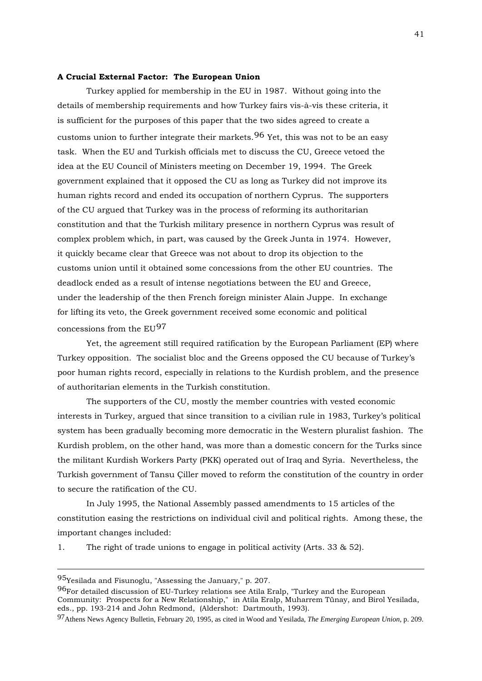#### **A Crucial External Factor: The European Union**

 Turkey applied for membership in the EU in 1987. Without going into the details of membership requirements and how Turkey fairs vis-à-vis these criteria, it is sufficient for the purposes of this paper that the two sides agreed to create a customs union to further integrate their markets.  $96$  Yet, this was not to be an easy task. When the EU and Turkish officials met to discuss the CU, Greece vetoed the idea at the EU Council of Ministers meeting on December 19, 1994. The Greek government explained that it opposed the CU as long as Turkey did not improve its human rights record and ended its occupation of northern Cyprus. The supporters of the CU argued that Turkey was in the process of reforming its authoritarian constitution and that the Turkish military presence in northern Cyprus was result of complex problem which, in part, was caused by the Greek Junta in 1974. However, it quickly became clear that Greece was not about to drop its objection to the customs union until it obtained some concessions from the other EU countries. The deadlock ended as a result of intense negotiations between the EU and Greece, under the leadership of the then French foreign minister Alain Juppe. In exchange for lifting its veto, the Greek government received some economic and political concessions from the EU[97](#page-40-1)

 Yet, the agreement still required ratification by the European Parliament (EP) where Turkey opposition. The socialist bloc and the Greens opposed the CU because of Turkey's poor human rights record, especially in relations to the Kurdish problem, and the presence of authoritarian elements in the Turkish constitution.

 The supporters of the CU, mostly the member countries with vested economic interests in Turkey, argued that since transition to a civilian rule in 1983, Turkey's political system has been gradually becoming more democratic in the Western pluralist fashion. The Kurdish problem, on the other hand, was more than a domestic concern for the Turks since the militant Kurdish Workers Party (PKK) operated out of Iraq and Syria. Nevertheless, the Turkish government of Tansu Çiller moved to reform the constitution of the country in order to secure the ratification of the CU.

 In July 1995, the National Assembly passed amendments to 15 articles of the constitution easing the restrictions on individual civil and political rights. Among these, the important changes included:

1. The right of trade unions to engage in political activity (Arts. 33 & 52).

<u>.</u>

<span id="page-40-1"></span>97Athens News Agency Bulletin, February 20, 1995, as cited in Wood and Yesilada, *The Emerging European Union,* p. 209.

<sup>95</sup>Yesilada and Fisunoglu, "Assessing the January," p. 207.

<span id="page-40-0"></span><sup>96</sup>For detailed discussion of EU-Turkey relations see Atila Eralp, "Turkey and the European Community: Prospects for a New Relationship," in Atila Eralp, Muharrem Tünay, and Birol Yesilada, eds., pp. 193-214 and John Redmond, (Aldershot: Dartmouth, 1993).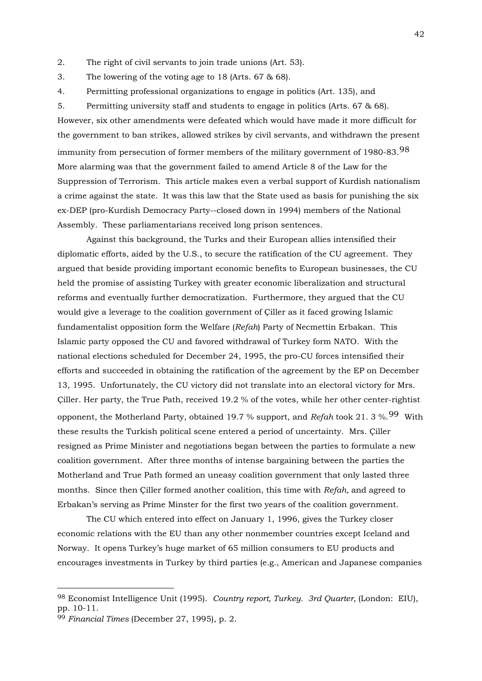2. The right of civil servants to join trade unions (Art. 53).

3. The lowering of the voting age to 18 (Arts. 67 & 68).

4. Permitting professional organizations to engage in politics (Art. 135), and

5. Permitting university staff and students to engage in politics (Arts. 67 & 68). However, six other amendments were defeated which would have made it more difficult for the government to ban strikes, allowed strikes by civil servants, and withdrawn the present immunity from persecution of former members of the military government of 1[98](#page-41-0)0-83.<sup>98</sup> More alarming was that the government failed to amend Article 8 of the Law for the Suppression of Terrorism. This article makes even a verbal support of Kurdish nationalism a crime against the state. It was this law that the State used as basis for punishing the six ex-DEP (pro-Kurdish Democracy Party--closed down in 1994) members of the National Assembly. These parliamentarians received long prison sentences.

 Against this background, the Turks and their European allies intensified their diplomatic efforts, aided by the U.S., to secure the ratification of the CU agreement. They argued that beside providing important economic benefits to European businesses, the CU held the promise of assisting Turkey with greater economic liberalization and structural reforms and eventually further democratization. Furthermore, they argued that the CU would give a leverage to the coalition government of Çiller as it faced growing Islamic fundamentalist opposition form the Welfare (*Refah*) Party of Necmettin Erbakan. This Islamic party opposed the CU and favored withdrawal of Turkey form NATO. With the national elections scheduled for December 24, 1995, the pro-CU forces intensified their efforts and succeeded in obtaining the ratification of the agreement by the EP on December 13, 1995. Unfortunately, the CU victory did not translate into an electoral victory for Mrs. Çiller. Her party, the True Path, received 19.2 % of the votes, while her other center-rightist opponent, the Motherland Party, obtained 19.7 % support, and *Refah* took 21. 3 %.[99](#page-41-1) With these results the Turkish political scene entered a period of uncertainty. Mrs. Çiller resigned as Prime Minister and negotiations began between the parties to formulate a new coalition government. After three months of intense bargaining between the parties the Motherland and True Path formed an uneasy coalition government that only lasted three months. Since then Çiller formed another coalition, this time with *Refah,* and agreed to Erbakan's serving as Prime Minster for the first two years of the coalition government.

 The CU which entered into effect on January 1, 1996, gives the Turkey closer economic relations with the EU than any other nonmember countries except Iceland and Norway. It opens Turkey's huge market of 65 million consumers to EU products and encourages investments in Turkey by third parties (e.g., American and Japanese companies

<u>.</u>

<span id="page-41-0"></span><sup>98</sup> Economist Intelligence Unit (1995). *Country report, Turkey. 3rd Quarter,* (London: EIU), pp. 10-11.

<span id="page-41-1"></span><sup>99</sup> *Financial Times* (December 27, 1995), p. 2.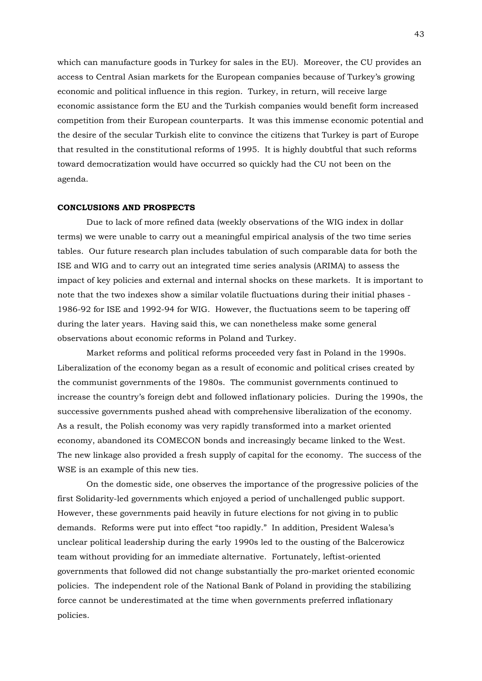which can manufacture goods in Turkey for sales in the EU). Moreover, the CU provides an access to Central Asian markets for the European companies because of Turkey's growing economic and political influence in this region. Turkey, in return, will receive large economic assistance form the EU and the Turkish companies would benefit form increased competition from their European counterparts. It was this immense economic potential and the desire of the secular Turkish elite to convince the citizens that Turkey is part of Europe that resulted in the constitutional reforms of 1995. It is highly doubtful that such reforms toward democratization would have occurred so quickly had the CU not been on the agenda.

## **CONCLUSIONS AND PROSPECTS**

 Due to lack of more refined data (weekly observations of the WIG index in dollar terms) we were unable to carry out a meaningful empirical analysis of the two time series tables. Our future research plan includes tabulation of such comparable data for both the ISE and WIG and to carry out an integrated time series analysis (ARIMA) to assess the impact of key policies and external and internal shocks on these markets. It is important to note that the two indexes show a similar volatile fluctuations during their initial phases - 1986-92 for ISE and 1992-94 for WIG. However, the fluctuations seem to be tapering off during the later years. Having said this, we can nonetheless make some general observations about economic reforms in Poland and Turkey.

 Market reforms and political reforms proceeded very fast in Poland in the 1990s. Liberalization of the economy began as a result of economic and political crises created by the communist governments of the 1980s. The communist governments continued to increase the country's foreign debt and followed inflationary policies. During the 1990s, the successive governments pushed ahead with comprehensive liberalization of the economy. As a result, the Polish economy was very rapidly transformed into a market oriented economy, abandoned its COMECON bonds and increasingly became linked to the West. The new linkage also provided a fresh supply of capital for the economy. The success of the WSE is an example of this new ties.

 On the domestic side, one observes the importance of the progressive policies of the first Solidarity-led governments which enjoyed a period of unchallenged public support. However, these governments paid heavily in future elections for not giving in to public demands. Reforms were put into effect "too rapidly." In addition, President Walesa's unclear political leadership during the early 1990s led to the ousting of the Balcerowicz team without providing for an immediate alternative. Fortunately, leftist-oriented governments that followed did not change substantially the pro-market oriented economic policies. The independent role of the National Bank of Poland in providing the stabilizing force cannot be underestimated at the time when governments preferred inflationary policies.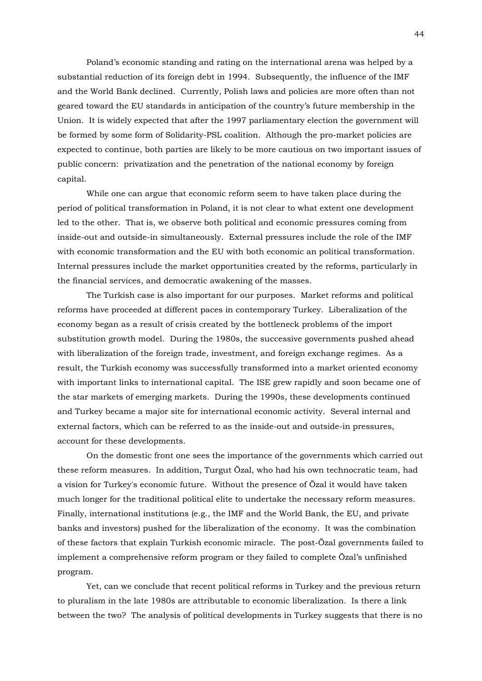Poland's economic standing and rating on the international arena was helped by a substantial reduction of its foreign debt in 1994. Subsequently, the influence of the IMF and the World Bank declined. Currently, Polish laws and policies are more often than not geared toward the EU standards in anticipation of the country's future membership in the Union. It is widely expected that after the 1997 parliamentary election the government will be formed by some form of Solidarity-PSL coalition. Although the pro-market policies are expected to continue, both parties are likely to be more cautious on two important issues of public concern: privatization and the penetration of the national economy by foreign capital.

 While one can argue that economic reform seem to have taken place during the period of political transformation in Poland, it is not clear to what extent one development led to the other. That is, we observe both political and economic pressures coming from inside-out and outside-in simultaneously. External pressures include the role of the IMF with economic transformation and the EU with both economic an political transformation. Internal pressures include the market opportunities created by the reforms, particularly in the financial services, and democratic awakening of the masses.

 The Turkish case is also important for our purposes. Market reforms and political reforms have proceeded at different paces in contemporary Turkey. Liberalization of the economy began as a result of crisis created by the bottleneck problems of the import substitution growth model. During the 1980s, the successive governments pushed ahead with liberalization of the foreign trade, investment, and foreign exchange regimes. As a result, the Turkish economy was successfully transformed into a market oriented economy with important links to international capital. The ISE grew rapidly and soon became one of the star markets of emerging markets. During the 1990s, these developments continued and Turkey became a major site for international economic activity. Several internal and external factors, which can be referred to as the inside-out and outside-in pressures, account for these developments.

 On the domestic front one sees the importance of the governments which carried out these reform measures. In addition, Turgut Özal, who had his own technocratic team, had a vision for Turkey's economic future. Without the presence of Özal it would have taken much longer for the traditional political elite to undertake the necessary reform measures. Finally, international institutions (e.g., the IMF and the World Bank, the EU, and private banks and investors) pushed for the liberalization of the economy. It was the combination of these factors that explain Turkish economic miracle. The post-Özal governments failed to implement a comprehensive reform program or they failed to complete Özal's unfinished program.

 Yet, can we conclude that recent political reforms in Turkey and the previous return to pluralism in the late 1980s are attributable to economic liberalization. Is there a link between the two? The analysis of political developments in Turkey suggests that there is no